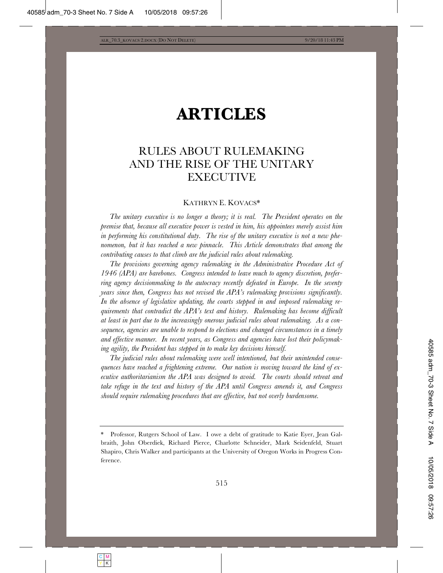# **ARTICLES**

# RULES ABOUT RULEMAKING AND THE RISE OF THE UNITARY **EXECUTIVE**

# KATHRYN E. KOVACS\*

*The unitary executive is no longer a theory; it is real. The President operates on the premise that, because all executive power is vested in him, his appointees merely assist him in performing his constitutional duty. The rise of the unitary executive is not a new phenomenon, but it has reached a new pinnacle. This Article demonstrates that among the contributing causes to that climb are the judicial rules about rulemaking.* 

The provisions governing agency rulemaking in the Administrative Procedure Act of *1946 (APA) are barebones. Congress intended to leave much to agency discretion, preferring agency decisionmaking to the autocracy recently defeated in Europe. In the seventy years since then, Congress has not revised the APA's rulemaking provisions significantly. In the absence of legislative updating, the courts stepped in and imposed rulemaking requirements that contradict the APA's text and history. Rulemaking has become difficult at least in part due to the increasingly onerous judicial rules about rulemaking. As a consequence, agencies are unable to respond to elections and changed circumstances in a timely and effective manner. In recent years, as Congress and agencies have lost their policymaking agility, the President has stepped in to make key decisions himself.* 

*The judicial rules about rulemaking were well intentioned, but their unintended consequences have reached a frightening extreme. Our nation is moving toward the kind of executive authoritarianism the APA was designed to avoid. The courts should retreat and take refuge in the text and history of the APA until Congress amends it, and Congress should require rulemaking procedures that are effective, but not overly burdensome.*

Professor, Rutgers School of Law. I owe a debt of gratitude to Katie Eyer, Jean Galbraith, John Oberdiek, Richard Pierce, Charlotte Schneider, Mark Seidenfeld, Stuart Shapiro, Chris Walker and participants at the University of Oregon Works in Progress Conference.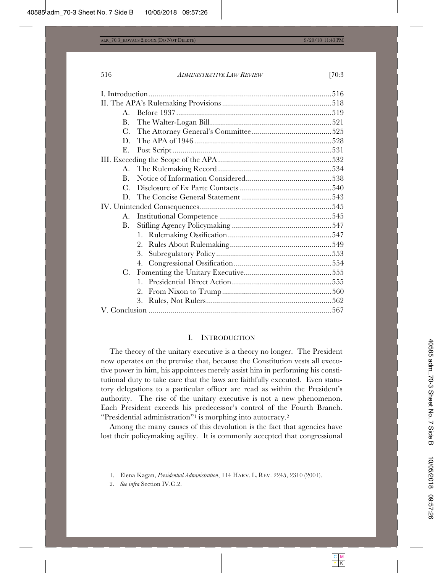| $\mathbf{B}$ . |    |  |
|----------------|----|--|
| $C_{\cdot}$    |    |  |
| D.             |    |  |
| Е.             |    |  |
|                |    |  |
|                |    |  |
| $\mathbf{B}$ . |    |  |
| $C_{\cdot}$    |    |  |
| D.             |    |  |
|                |    |  |
| A.             |    |  |
| <b>B.</b>      |    |  |
|                |    |  |
|                | 2. |  |
|                | 3. |  |
|                |    |  |
| $C_{\cdot}$    |    |  |
|                |    |  |
|                | 2. |  |
|                | 3. |  |
|                |    |  |
|                |    |  |

# I. INTRODUCTION

The theory of the unitary executive is a theory no longer. The President now operates on the premise that, because the Constitution vests all executive power in him, his appointees merely assist him in performing his constitutional duty to take care that the laws are faithfully executed. Even statutory delegations to a particular officer are read as within the President's authority. The rise of the unitary executive is not a new phenomenon. Each President exceeds his predecessor's control of the Fourth Branch. "Presidential administration"1 is morphing into autocracy.2

Among the many causes of this devolution is the fact that agencies have lost their policymaking agility. It is commonly accepted that congressional

<sup>1.</sup> Elena Kagan, *Presidential Administration*, 114 HARV. L. REV. 2245, 2310 (2001).

<sup>2.</sup> *See infra* Section IV.C.2.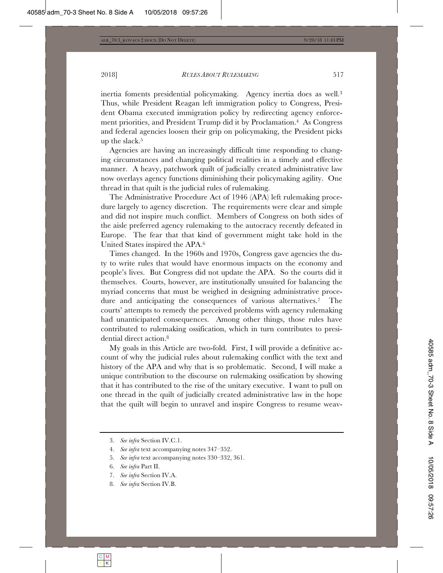inertia foments presidential policymaking. Agency inertia does as well.3 Thus, while President Reagan left immigration policy to Congress, President Obama executed immigration policy by redirecting agency enforcement priorities, and President Trump did it by Proclamation.4 As Congress and federal agencies loosen their grip on policymaking, the President picks up the slack.5

Agencies are having an increasingly difficult time responding to changing circumstances and changing political realities in a timely and effective manner. A heavy, patchwork quilt of judicially created administrative law now overlays agency functions diminishing their policymaking agility. One thread in that quilt is the judicial rules of rulemaking.

The Administrative Procedure Act of 1946 (APA) left rulemaking procedure largely to agency discretion. The requirements were clear and simple and did not inspire much conflict. Members of Congress on both sides of the aisle preferred agency rulemaking to the autocracy recently defeated in Europe. The fear that that kind of government might take hold in the United States inspired the APA.6

Times changed. In the 1960s and 1970s, Congress gave agencies the duty to write rules that would have enormous impacts on the economy and people's lives. But Congress did not update the APA. So the courts did it themselves. Courts, however, are institutionally unsuited for balancing the myriad concerns that must be weighed in designing administrative procedure and anticipating the consequences of various alternatives.<sup>7</sup> The courts' attempts to remedy the perceived problems with agency rulemaking had unanticipated consequences. Among other things, those rules have contributed to rulemaking ossification, which in turn contributes to presidential direct action.8

My goals in this Article are two-fold. First, I will provide a definitive account of why the judicial rules about rulemaking conflict with the text and history of the APA and why that is so problematic. Second, I will make a unique contribution to the discourse on rulemaking ossification by showing that it has contributed to the rise of the unitary executive. I want to pull on one thread in the quilt of judicially created administrative law in the hope that the quilt will begin to unravel and inspire Congress to resume weav-

- 7. *See infra* Section IV.A.
- 8. *See infra* Section IV.B.

<sup>3.</sup> *See infra* Section IV.C.1.

<sup>4.</sup> *See infra* text accompanying notes 347–352.

<sup>5.</sup> *See infra* text accompanying notes 330–332, 361.

<sup>6.</sup> *See infra* Part II.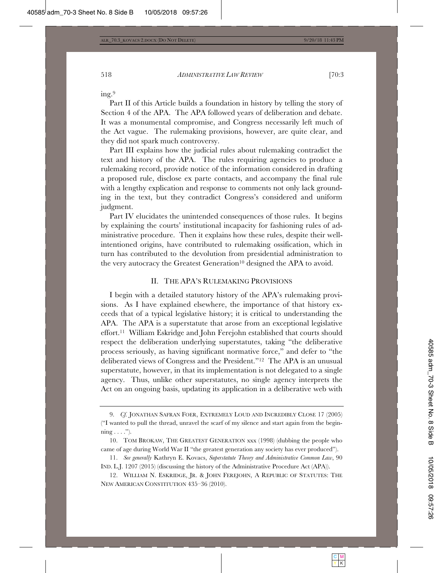ing.9

Part II of this Article builds a foundation in history by telling the story of Section 4 of the APA. The APA followed years of deliberation and debate. It was a monumental compromise, and Congress necessarily left much of the Act vague. The rulemaking provisions, however, are quite clear, and they did not spark much controversy.

Part III explains how the judicial rules about rulemaking contradict the text and history of the APA. The rules requiring agencies to produce a rulemaking record, provide notice of the information considered in drafting a proposed rule, disclose ex parte contacts, and accompany the final rule with a lengthy explication and response to comments not only lack grounding in the text, but they contradict Congress's considered and uniform judgment.

Part IV elucidates the unintended consequences of those rules. It begins by explaining the courts' institutional incapacity for fashioning rules of administrative procedure. Then it explains how these rules, despite their wellintentioned origins, have contributed to rulemaking ossification, which in turn has contributed to the devolution from presidential administration to the very autocracy the Greatest Generation<sup>10</sup> designed the APA to avoid.

#### II. THE APA'S RULEMAKING PROVISIONS

I begin with a detailed statutory history of the APA's rulemaking provisions. As I have explained elsewhere, the importance of that history exceeds that of a typical legislative history; it is critical to understanding the APA. The APA is a superstatute that arose from an exceptional legislative effort.11 William Eskridge and John Ferejohn established that courts should respect the deliberation underlying superstatutes, taking "the deliberative process seriously, as having significant normative force," and defer to "the deliberated views of Congress and the President."12 The APA is an unusual superstatute, however, in that its implementation is not delegated to a single agency. Thus, unlike other superstatutes, no single agency interprets the Act on an ongoing basis, updating its application in a deliberative web with

<sup>9.</sup> *Cf.* JONATHAN SAFRAN FOER, EXTREMELY LOUD AND INCREDIBLY CLOSE 17 (2005) ("I wanted to pull the thread, unravel the scarf of my silence and start again from the begin- $\min_{\mathbf{g}} \ldots$ ").

<sup>10.</sup> TOM BROKAW, THE GREATEST GENERATION xxx (1998) (dubbing the people who came of age during World War II "the greatest generation any society has ever produced").

<sup>11.</sup> *See generally* Kathryn E. Kovacs, *Superstatute Theory and Administrative Common Law*, 90 IND. L.J. 1207 (2015) (discussing the history of the Administrative Procedure Act (APA)).

<sup>12.</sup> WILLIAM N. ESKRIDGE, JR.&JOHN FEREJOHN, A REPUBLIC OF STATUTES: THE NEW AMERICAN CONSTITUTION 435–36 (2010).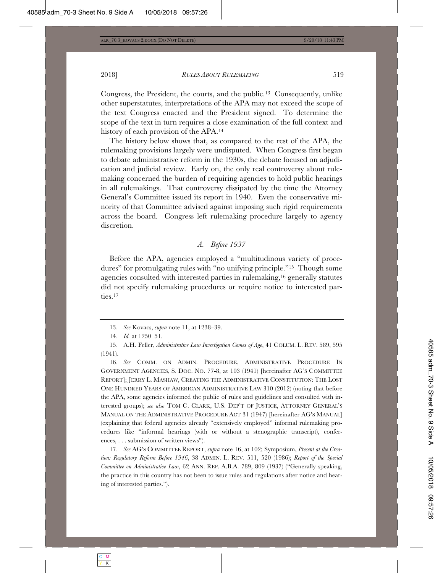Congress, the President, the courts, and the public.13 Consequently, unlike other superstatutes, interpretations of the APA may not exceed the scope of the text Congress enacted and the President signed. To determine the scope of the text in turn requires a close examination of the full context and history of each provision of the APA.14

The history below shows that, as compared to the rest of the APA, the rulemaking provisions largely were undisputed. When Congress first began to debate administrative reform in the 1930s, the debate focused on adjudication and judicial review. Early on, the only real controversy about rulemaking concerned the burden of requiring agencies to hold public hearings in all rulemakings. That controversy dissipated by the time the Attorney General's Committee issued its report in 1940. Even the conservative minority of that Committee advised against imposing such rigid requirements across the board. Congress left rulemaking procedure largely to agency discretion.

# *A. Before 1937*

Before the APA, agencies employed a "multitudinous variety of procedures" for promulgating rules with "no unifying principle."15 Though some agencies consulted with interested parties in rulemaking,16 generally statutes did not specify rulemaking procedures or require notice to interested parties.<sup>17</sup>

15. A.H. Feller, *Administrative Law Investigation Comes of Age*, 41 COLUM. L. REV. 589, 595 (1941).

16. *See* COMM. ON ADMIN. PROCEDURE, ADMINISTRATIVE PROCEDURE IN GOVERNMENT AGENCIES, S. DOC. NO. 77-8, at 103 (1941) [hereinafter AG'S COMMITTEE REPORT]; JERRY L. MASHAW, CREATING THE ADMINISTRATIVE CONSTITUTION: THE LOST ONE HUNDRED YEARS OF AMERICAN ADMINISTRATIVE LAW 310 (2012) (noting that before the APA, some agencies informed the public of rules and guidelines and consulted with interested groups); *see also* TOM C. CLARK, U.S. DEP'T OF JUSTICE, ATTORNEY GENERAL'S MANUAL ON THE ADMINISTRATIVE PROCEDURE ACT 31 (1947) [hereinafter AG'S MANUAL] (explaining that federal agencies already "extensively employed" informal rulemaking procedures like "informal hearings (with or without a stenographic transcript), conferences, . . . submission of written views").

17. *See* AG'S COMMITTEE REPORT, *supra* note 16, at 102; Symposium, *Present at the Creation: Regulatory Reform Before 1946*, 38 ADMIN. L. REV. 511, 520 (1986); *Report of the Special Committee on Administrative Law*, 62 ANN. REP. A.B.A. 789, 809 (1937) ("Generally speaking, the practice in this country has not been to issue rules and regulations after notice and hearing of interested parties.").

<sup>13.</sup> *See* Kovacs, *supra* note 11, at 1238–39.

<sup>14.</sup> *Id.* at 1250–51.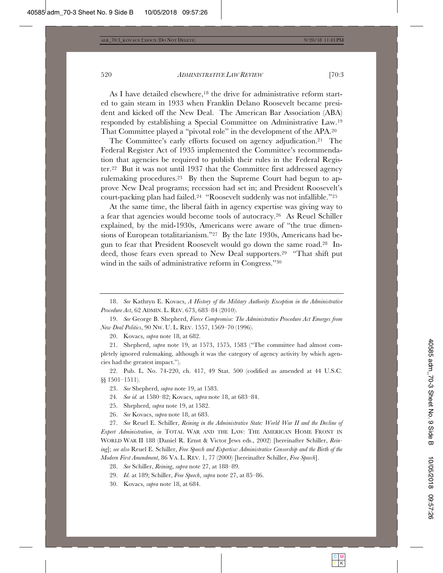As I have detailed elsewhere,<sup>18</sup> the drive for administrative reform started to gain steam in 1933 when Franklin Delano Roosevelt became president and kicked off the New Deal. The American Bar Association (ABA) responded by establishing a Special Committee on Administrative Law.19 That Committee played a "pivotal role" in the development of the APA.20

The Committee's early efforts focused on agency adjudication.21 The Federal Register Act of 1935 implemented the Committee's recommendation that agencies be required to publish their rules in the Federal Register.22 But it was not until 1937 that the Committee first addressed agency rulemaking procedures.23 By then the Supreme Court had begun to approve New Deal programs; recession had set in; and President Roosevelt's court-packing plan had failed.24 "Roosevelt suddenly was not infallible."25

At the same time, the liberal faith in agency expertise was giving way to a fear that agencies would become tools of autocracy.26 As Reuel Schiller explained, by the mid-1930s, Americans were aware of "the true dimensions of European totalitarianism."27 By the late 1930s, Americans had begun to fear that President Roosevelt would go down the same road.28 Indeed, those fears even spread to New Deal supporters.29 "That shift put wind in the sails of administrative reform in Congress."30

18. *See* Kathryn E. Kovacs, *A History of the Military Authority Exception in the Administrative Procedure Act*, 62 ADMIN. L. REV. 673, 683–84 (2010).

19. *See* George B. Shepherd, *Fierce Compromise: The Administrative Procedure Act Emerges from New Deal Politics*, 90 NW. U. L. REV. 1557, 1569–70 (1996).

20. Kovacs, *supra* note 18, at 682.

21. Shepherd, *supra* note 19, at 1573, 1575, 1583 ("The committee had almost completely ignored rulemaking, although it was the category of agency activity by which agencies had the greatest impact.").

22. Pub. L. No. 74-220, ch. 417, 49 Stat. 500 (codified as amended at 44 U.S.C. §§ 1501–1511).

- 25. Shepherd, *supra* note 19, at 1582.
- 26. *See* Kovacs, *supra* note 18, at 683.

27. *See* Reuel E. Schiller, *Reining in the Administrative State: World War II and the Decline of Expert Administration*, *in* TOTAL WAR AND THE LAW: THE AMERICAN HOME FRONT IN WORLD WAR II 188 (Daniel R. Ernst & Victor Jews eds., 2002) [hereinafter Schiller, *Reining*]; *see also* Reuel E. Schiller, *Free Speech and Expertise: Administrative Censorship and the Birth of the Modern First Amendment*, 86 VA. L. REV. 1, 77 (2000) [hereinafter Schiller, *Free Speech*].

30. Kovacs, *supra* note 18, at 684.

<sup>23.</sup> *See* Shepherd, *supra* note 19, at 1583.

<sup>24</sup>*. See id.* at 1580–82; Kovacs, *supra* note 18, at 683–84.

<sup>28.</sup> *See* Schiller, *Reining*, *supra* note 27, at 188–89.

<sup>29.</sup> *Id.* at 189; Schiller, *Free Speech*, *supra* note 27, at 85–86.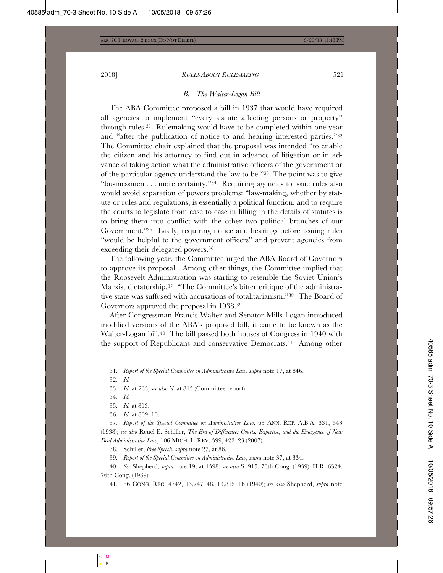#### *B. The Walter-Logan Bill*

The ABA Committee proposed a bill in 1937 that would have required all agencies to implement "every statute affecting persons or property" through rules.31 Rulemaking would have to be completed within one year and "after the publication of notice to and hearing interested parties."32 The Committee chair explained that the proposal was intended "to enable the citizen and his attorney to find out in advance of litigation or in advance of taking action what the administrative officers of the government or of the particular agency understand the law to be."33 The point was to give "businessmen . . . more certainty."34 Requiring agencies to issue rules also would avoid separation of powers problems: "law-making, whether by statute or rules and regulations, is essentially a political function, and to require the courts to legislate from case to case in filling in the details of statutes is to bring them into conflict with the other two political branches of our Government."35 Lastly, requiring notice and hearings before issuing rules "would be helpful to the government officers" and prevent agencies from exceeding their delegated powers.36

The following year, the Committee urged the ABA Board of Governors to approve its proposal. Among other things, the Committee implied that the Roosevelt Administration was starting to resemble the Soviet Union's Marxist dictatorship.37 "The Committee's bitter critique of the administrative state was suffused with accusations of totalitarianism."38 The Board of Governors approved the proposal in 1938.39

After Congressman Francis Walter and Senator Mills Logan introduced modified versions of the ABA's proposed bill, it came to be known as the Walter-Logan bill.<sup>40</sup> The bill passed both houses of Congress in 1940 with the support of Republicans and conservative Democrats.41 Among other

38. Schiller, *Free Speech*, *supra* note 27, at 86.

39*. Report of the Special Committee on Administrative Law*, *supra* note 37, at 334.

40. *See* Shepherd, *supra* note 19, at 1598; *see also* S. 915, 76th Cong. (1939); H.R. 6324, 76th Cong. (1939).

41. 86 CONG. REC. 4742, 13,747–48, 13,815–16 (1940); *see also* Shepherd, *supra* note

<sup>31</sup>*. Report of the Special Committee on Administrative Law*, *supra* note 17, at 846.

<sup>32.</sup> *Id.*

<sup>33.</sup> *Id.* at 263; *see also id.* at 813 (Committee report).

<sup>34.</sup> *Id.*

<sup>35</sup>*. Id.* at 813.

<sup>36.</sup> *Id.* at 809–10.

<sup>37.</sup> *Report of the Special Committee on Administrative Law*, 63 ANN. REP. A.B.A. 331, 343 (1938); *see also* Reuel E. Schiller, *The Era of Difference: Courts, Expertise, and the Emergence of New Deal Administrative Law*, 106 MICH. L. REV. 399, 422–23 (2007).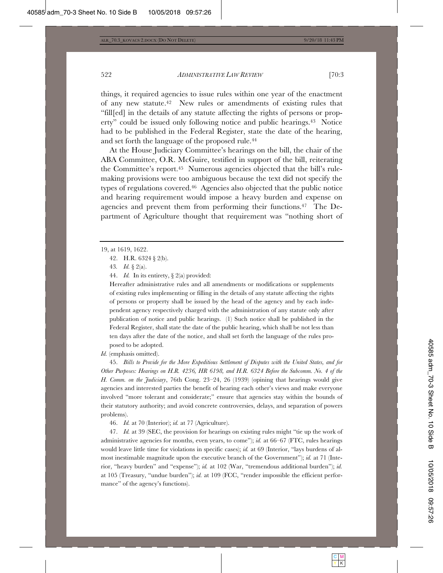things, it required agencies to issue rules within one year of the enactment of any new statute.42 New rules or amendments of existing rules that "fill[ed] in the details of any statute affecting the rights of persons or property" could be issued only following notice and public hearings.43 Notice had to be published in the Federal Register, state the date of the hearing, and set forth the language of the proposed rule.44

At the House Judiciary Committee's hearings on the bill, the chair of the ABA Committee, O.R. McGuire, testified in support of the bill, reiterating the Committee's report.45 Numerous agencies objected that the bill's rulemaking provisions were too ambiguous because the text did not specify the types of regulations covered.46 Agencies also objected that the public notice and hearing requirement would impose a heavy burden and expense on agencies and prevent them from performing their functions.47 The Department of Agriculture thought that requirement was "nothing short of

43*. Id.* § 2(a).

44. *Id.* In its entirety, § 2(a) provided:

Hereafter administrative rules and all amendments or modifications or supplements of existing rules implementing or filling in the details of any statute affecting the rights of persons or property shall be issued by the head of the agency and by each independent agency respectively charged with the administration of any statute only after publication of notice and public hearings. (1) Such notice shall be published in the Federal Register, shall state the date of the public hearing, which shall be not less than ten days after the date of the notice, and shall set forth the language of the rules proposed to be adopted.

*Id.* (emphasis omitted).

45. *Bills to Provide for the More Expeditious Settlement of Disputes with the United States, and for Other Purposes: Hearings on H.R. 4236, HR 6198, and H.R. 6324 Before the Subcomm. No. 4 of the H. Comm. on the Judiciary*, 76th Cong. 23–24, 26 (1939) (opining that hearings would give agencies and interested parties the benefit of hearing each other's views and make everyone involved "more tolerant and considerate;" ensure that agencies stay within the bounds of their statutory authority; and avoid concrete controversies, delays, and separation of powers problems).

46. *Id.* at 70 (Interior); *id.* at 77 (Agriculture).

47. *Id.* at 39 (SEC, the provision for hearings on existing rules might "tie up the work of administrative agencies for months, even years, to come"); *id.* at 66–67 (FTC, rules hearings would leave little time for violations in specific cases); *id.* at 69 (Interior, "lays burdens of almost inestimable magnitude upon the executive branch of the Government"); *id.* at 71 (Interior, "heavy burden" and "expense"); *id.* at 102 (War, "tremendous additional burden"); *id.*  at 105 (Treasury, "undue burden"); *id.* at 109 (FCC, "render impossible the efficient performance" of the agency's functions).

<sup>19,</sup> at 1619, 1622.

<sup>42.</sup> H.R. 6324 § 2(b).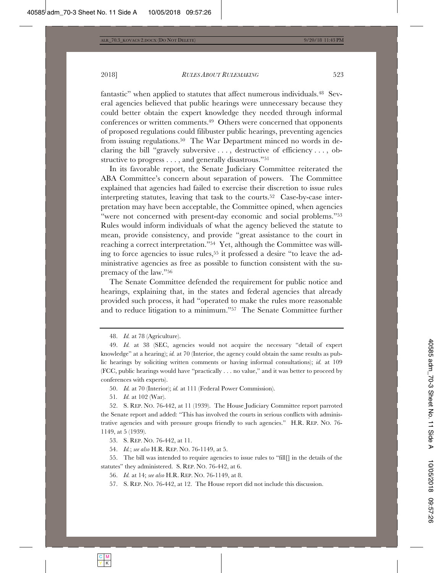2018] *RULES ABOUT RULEMAKING* 523

fantastic" when applied to statutes that affect numerous individuals.48 Several agencies believed that public hearings were unnecessary because they could better obtain the expert knowledge they needed through informal conferences or written comments.49 Others were concerned that opponents of proposed regulations could filibuster public hearings, preventing agencies from issuing regulations.50 The War Department minced no words in declaring the bill "gravely subversive . . . , destructive of efficiency . . . , obstructive to progress . . . , and generally disastrous."51

In its favorable report, the Senate Judiciary Committee reiterated the ABA Committee's concern about separation of powers. The Committee explained that agencies had failed to exercise their discretion to issue rules interpreting statutes, leaving that task to the courts.52 Case-by-case interpretation may have been acceptable, the Committee opined, when agencies "were not concerned with present-day economic and social problems."53 Rules would inform individuals of what the agency believed the statute to mean, provide consistency, and provide "great assistance to the court in reaching a correct interpretation."54 Yet, although the Committee was willing to force agencies to issue rules,55 it professed a desire "to leave the administrative agencies as free as possible to function consistent with the supremacy of the law."56

The Senate Committee defended the requirement for public notice and hearings, explaining that, in the states and federal agencies that already provided such process, it had "operated to make the rules more reasonable and to reduce litigation to a minimum."57 The Senate Committee further

48. *Id.* at 78 (Agriculture).

51*. Id.* at 102 (War).

53. S. REP. NO. 76-442, at 11.

54. *Id.*; *see also* H.R. REP. NO. 76-1149, at 5.

55. The bill was intended to require agencies to issue rules to "fill[] in the details of the statutes" they administered. S. REP. NO. 76-442, at 6.

56. *Id.* at 14; *see also* H.R. REP. NO. 76-1149, at 8.

57. S. REP. NO. 76-442, at 12. The House report did not include this discussion.

<sup>49.</sup> *Id.* at 38 (SEC, agencies would not acquire the necessary "detail of expert knowledge" at a hearing); *id.* at 70 (Interior, the agency could obtain the same results as public hearings by soliciting written comments or having informal consultations); *id.* at 109 (FCC, public hearings would have "practically . . . no value," and it was better to proceed by conferences with experts).

<sup>50.</sup> *Id.* at 70 (Interior); *id.* at 111 (Federal Power Commission).

<sup>52.</sup> S. REP. NO. 76-442, at 11 (1939). The House Judiciary Committee report parroted the Senate report and added: "This has involved the courts in serious conflicts with administrative agencies and with pressure groups friendly to such agencies." H.R. REP. NO. 76- 1149, at 5 (1939).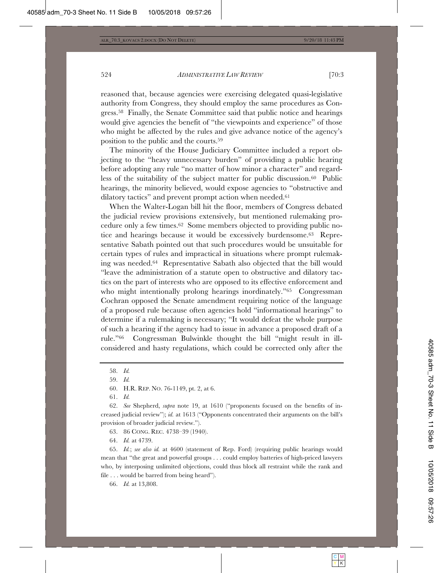reasoned that, because agencies were exercising delegated quasi-legislative authority from Congress, they should employ the same procedures as Congress.58 Finally, the Senate Committee said that public notice and hearings would give agencies the benefit of "the viewpoints and experience" of those who might be affected by the rules and give advance notice of the agency's position to the public and the courts.59

The minority of the House Judiciary Committee included a report objecting to the "heavy unnecessary burden" of providing a public hearing before adopting any rule "no matter of how minor a character" and regardless of the suitability of the subject matter for public discussion.60 Public hearings, the minority believed, would expose agencies to "obstructive and dilatory tactics" and prevent prompt action when needed.<sup>61</sup>

When the Walter-Logan bill hit the floor, members of Congress debated the judicial review provisions extensively, but mentioned rulemaking procedure only a few times.62 Some members objected to providing public notice and hearings because it would be excessively burdensome.63 Representative Sabath pointed out that such procedures would be unsuitable for certain types of rules and impractical in situations where prompt rulemaking was needed.64 Representative Sabath also objected that the bill would "leave the administration of a statute open to obstructive and dilatory tactics on the part of interests who are opposed to its effective enforcement and who might intentionally prolong hearings inordinately."<sup>65</sup> Congressman Cochran opposed the Senate amendment requiring notice of the language of a proposed rule because often agencies hold "informational hearings" to determine if a rulemaking is necessary; "It would defeat the whole purpose of such a hearing if the agency had to issue in advance a proposed draft of a rule."66 Congressman Bulwinkle thought the bill "might result in illconsidered and hasty regulations, which could be corrected only after the

63. 86 CONG. REC. 4738–39 (1940).

64. *Id.* at 4739.

65. *Id.*; *see also id.* at 4600 (statement of Rep. Ford) (requiring public hearings would mean that "the great and powerful groups . . . could employ batteries of high-priced lawyers who, by interposing unlimited objections, could thus block all restraint while the rank and file . . . would be barred from being heard").

66. *Id.* at 13,808.

<sup>58.</sup> *Id.*

<sup>59.</sup> *Id.*

<sup>60.</sup> H.R. REP. NO. 76-1149, pt. 2, at 6.

<sup>61.</sup> *Id.*

<sup>62.</sup> *See* Shepherd, *supra* note 19, at 1610 ("proponents focused on the benefits of increased judicial review"); *id.* at 1613 ("Opponents concentrated their arguments on the bill's provision of broader judicial review.").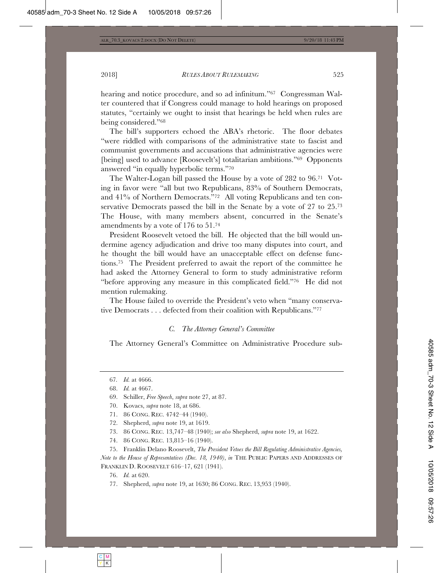hearing and notice procedure, and so ad infinitum."67 Congressman Walter countered that if Congress could manage to hold hearings on proposed statutes, "certainly we ought to insist that hearings be held when rules are being considered."68

The bill's supporters echoed the ABA's rhetoric. The floor debates "were riddled with comparisons of the administrative state to fascist and communist governments and accusations that administrative agencies were [being] used to advance [Roosevelt's] totalitarian ambitions."69 Opponents answered "in equally hyperbolic terms."70

The Walter-Logan bill passed the House by a vote of 282 to 96.71 Voting in favor were "all but two Republicans, 83% of Southern Democrats, and 41% of Northern Democrats."72 All voting Republicans and ten conservative Democrats passed the bill in the Senate by a vote of 27 to 25.73 The House, with many members absent, concurred in the Senate's amendments by a vote of 176 to 51.74

President Roosevelt vetoed the bill. He objected that the bill would undermine agency adjudication and drive too many disputes into court, and he thought the bill would have an unacceptable effect on defense functions.75 The President preferred to await the report of the committee he had asked the Attorney General to form to study administrative reform "before approving any measure in this complicated field."76 He did not mention rulemaking.

The House failed to override the President's veto when "many conservative Democrats . . . defected from their coalition with Republicans."77

#### *C. The Attorney General's Committee*

The Attorney General's Committee on Administrative Procedure sub-

74. 86 CONG. REC. 13,815–16 (1940).

75. Franklin Delano Roosevelt, *The President Vetoes the Bill Regulating Administrative Agencies, Note to the House of Representatives (Dec. 18, 1940)*, *in* THE PUBLIC PAPERS AND ADDRESSES OF FRANKLIN D. ROOSEVELT 616–17, 621 (1941).

76. *Id.* at 620.

77. Shepherd, *supra* note 19, at 1630; 86 CONG. REC. 13,953 (1940).

<sup>67</sup>*. Id.* at 4666.

<sup>68.</sup> *Id.* at 4667.

<sup>69.</sup> Schiller, *Free Speech*, *supra* note 27, at 87.

<sup>70.</sup> Kovacs, *supra* note 18, at 686.

<sup>71. 86</sup> CONG. REC. 4742–44 (1940).

<sup>72.</sup> Shepherd, *supra* note 19, at 1619.

<sup>73. 86</sup> CONG. REC. 13,747–48 (1940); *see also* Shepherd, *supra* note 19, at 1622.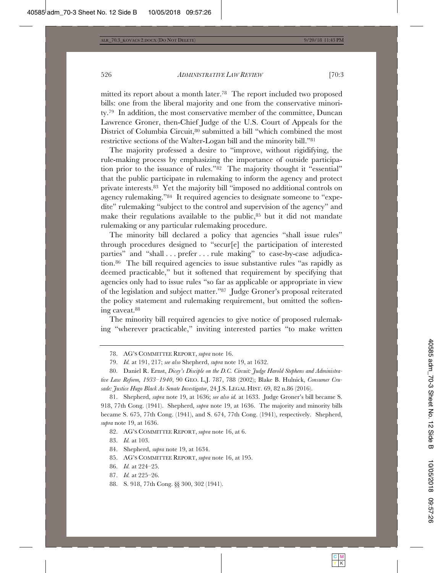mitted its report about a month later.78 The report included two proposed bills: one from the liberal majority and one from the conservative minority.79 In addition, the most conservative member of the committee, Duncan Lawrence Groner, then-Chief Judge of the U.S. Court of Appeals for the District of Columbia Circuit,<sup>80</sup> submitted a bill "which combined the most restrictive sections of the Walter-Logan bill and the minority bill."81

The majority professed a desire to "improve, without rigidifying, the rule-making process by emphasizing the importance of outside participation prior to the issuance of rules."82 The majority thought it "essential" that the public participate in rulemaking to inform the agency and protect private interests.83 Yet the majority bill "imposed no additional controls on agency rulemaking."84 It required agencies to designate someone to "expedite" rulemaking "subject to the control and supervision of the agency" and make their regulations available to the public, $85$  but it did not mandate rulemaking or any particular rulemaking procedure.

The minority bill declared a policy that agencies "shall issue rules" through procedures designed to "secur[e] the participation of interested parties" and "shall . . . prefer . . . rule making" to case-by-case adjudication.86 The bill required agencies to issue substantive rules "as rapidly as deemed practicable," but it softened that requirement by specifying that agencies only had to issue rules "so far as applicable or appropriate in view of the legislation and subject matter."87 Judge Groner's proposal reiterated the policy statement and rulemaking requirement, but omitted the softening caveat.88

The minority bill required agencies to give notice of proposed rulemaking "wherever practicable," inviting interested parties "to make written

82. AG'S COMMITTEE REPORT, *supra* note 16, at 6.

83. *Id.* at 103.

84. Shepherd, *supra* note 19, at 1634.

- 85. AG'S COMMITTEE REPORT, *supra* note 16, at 195.
- 86. *Id.* at 224–25.
- 87. *Id.* at 225–26.
- 88. S. 918, 77th Cong. §§ 300, 302 (1941).

<sup>78.</sup> AG'S COMMITTEE REPORT, *supra* note 16.

<sup>79.</sup> *Id.* at 191, 217; *see also* Shepherd, *supra* note 19, at 1632.

<sup>80.</sup> Daniel R. Ernst, *Dicey's Disciple on the D.C. Circuit: Judge Harold Stephens and Administrative Law Reform, 1933–1940*, 90 GEO. L.J. 787, 788 (2002); Blake B. Hulnick, *Consumer Crusade: Justice Hugo Black As Senate Investigator*, 24 J.S. LEGAL HIST. 69, 82 n.86 (2016).

<sup>81.</sup> Shepherd, *supra* note 19, at 1636; *see also id.* at 1633. Judge Groner's bill became S. 918, 77th Cong. (1941). Shepherd, *supra* note 19, at 1636. The majority and minority bills became S. 675, 77th Cong. (1941), and S. 674, 77th Cong. (1941), respectively. Shepherd, *supra* note 19, at 1636.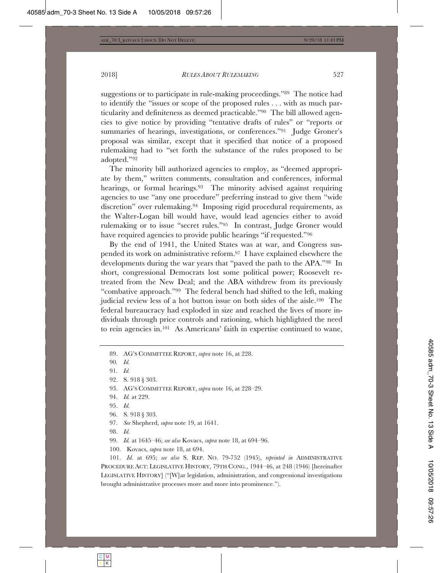suggestions or to participate in rule-making proceedings."89 The notice had to identify the "issues or scope of the proposed rules . . . with as much particularity and definiteness as deemed practicable."90 The bill allowed agencies to give notice by providing "tentative drafts of rules" or "reports or summaries of hearings, investigations, or conferences."91 Judge Groner's proposal was similar, except that it specified that notice of a proposed rulemaking had to "set forth the substance of the rules proposed to be adopted."92

The minority bill authorized agencies to employ, as "deemed appropriate by them," written comments, consultation and conferences, informal hearings, or formal hearings.<sup>93</sup> The minority advised against requiring agencies to use "any one procedure" preferring instead to give them "wide discretion" over rulemaking.94 Imposing rigid procedural requirements, as the Walter-Logan bill would have, would lead agencies either to avoid rulemaking or to issue "secret rules."95 In contrast, Judge Groner would have required agencies to provide public hearings "if requested."96

By the end of 1941, the United States was at war, and Congress suspended its work on administrative reform.97 I have explained elsewhere the developments during the war years that "paved the path to the APA."98 In short, congressional Democrats lost some political power; Roosevelt retreated from the New Deal; and the ABA withdrew from its previously "combative approach."99 The federal bench had shifted to the left, making judicial review less of a hot button issue on both sides of the aisle.100 The federal bureaucracy had exploded in size and reached the lives of more individuals through price controls and rationing, which highlighted the need to rein agencies in.101 As Americans' faith in expertise continued to wane,

- 93. AG'S COMMITTEE REPORT, *supra* note 16, at 228–29.
- 94. *Id.* at 229.
- 95. *Id.*
- 96. S. 918 § 303.
- 97. *See* Shepherd, *supra* note 19, at 1641.
- 98. *Id.*
- 99. *Id.* at 1645–46; *see also* Kovacs, *supra* note 18, at 694–96.
- 100. Kovacs, *supra* note 18, at 694.

101. *Id.* at 695; *see also* S. REP. NO. 79-752 (1945), *reprinted in* ADMINISTRATIVE PROCEDURE ACT: LEGISLATIVE HISTORY, 79TH CONG., 1944–46, at 248 (1946) [hereinafter LEGISLATIVE HISTORY] ("[W]ar legislation, administration, and congressional investigations brought administrative processes more and more into prominence.").

<sup>89.</sup> AG'S COMMITTEE REPORT, *supra* note 16, at 228.

<sup>90</sup>*. Id.*

<sup>91.</sup> *Id.*

<sup>92.</sup> S. 918 § 303.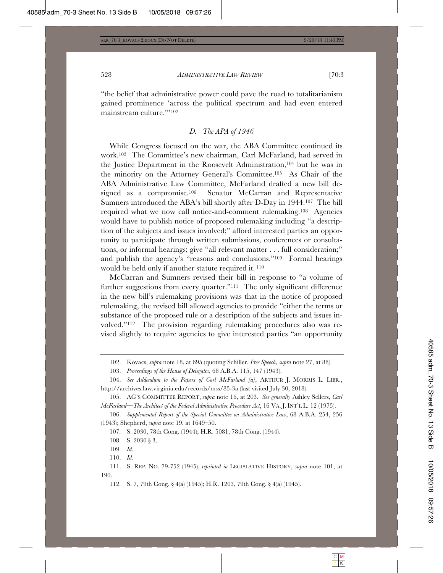"the belief that administrative power could pave the road to totalitarianism gained prominence 'across the political spectrum and had even entered mainstream culture.'"102

# *D. The APA of 1946*

While Congress focused on the war, the ABA Committee continued its work.103 The Committee's new chairman, Carl McFarland, had served in the Justice Department in the Roosevelt Administration,104 but he was in the minority on the Attorney General's Committee.105 As Chair of the ABA Administrative Law Committee, McFarland drafted a new bill designed as a compromise.106 Senator McCarran and Representative Sumners introduced the ABA's bill shortly after D-Day in 1944.107 The bill required what we now call notice-and-comment rulemaking.108 Agencies would have to publish notice of proposed rulemaking including "a description of the subjects and issues involved;" afford interested parties an opportunity to participate through written submissions, conferences or consultations, or informal hearings; give "all relevant matter . . . full consideration;" and publish the agency's "reasons and conclusions."109 Formal hearings would be held only if another statute required it. 110

McCarran and Sumners revised their bill in response to "a volume of further suggestions from every quarter."<sup>111</sup> The only significant difference in the new bill's rulemaking provisions was that in the notice of proposed rulemaking, the revised bill allowed agencies to provide "either the terms or substance of the proposed rule or a description of the subjects and issues involved."112 The provision regarding rulemaking procedures also was revised slightly to require agencies to give interested parties "an opportunity

108. S. 2030 § 3.

<sup>102.</sup> Kovacs, *supra* note 18, at 695 (quoting Schiller, *Free Speech*, *supra* note 27, at 88).

<sup>103.</sup> *Proceedings of the House of Delegates*, 68 A.B.A. 115, 147 (1943).

<sup>104.</sup> *See Addendum to the Papers of Carl McFarland [a]*, ARTHUR J. MORRIS L. LIBR., http://archives.law.virginia.edu/records/mss/85-3a (last visited July 30, 2018).

<sup>105.</sup> AG'S COMMITTEE REPORT, *supra* note 16, at 203. *See generally* Ashley Sellers, *Carl McFarland—The Architect of the Federal Administrative Procedure Act*, 16 VA. J. INT'L L. 12 (1975).

<sup>106.</sup> *Supplemental Report of the Special Committee on Administrative Law*, 68 A.B.A. 254, 256 (1943); Shepherd, *supra* note 19, at 1649–50.

<sup>107.</sup> S. 2030, 78th Cong. (1944); H.R. 5081, 78th Cong. (1944).

<sup>109.</sup> *Id.*

<sup>110.</sup> *Id.*

<sup>111.</sup> S. REP. NO. 79-752 (1945), *reprinted in* LEGISLATIVE HISTORY, *supra* note 101, at 190.

<sup>112.</sup> S. 7, 79th Cong. § 4(a) (1945); H.R. 1203, 79th Cong. § 4(a) (1945).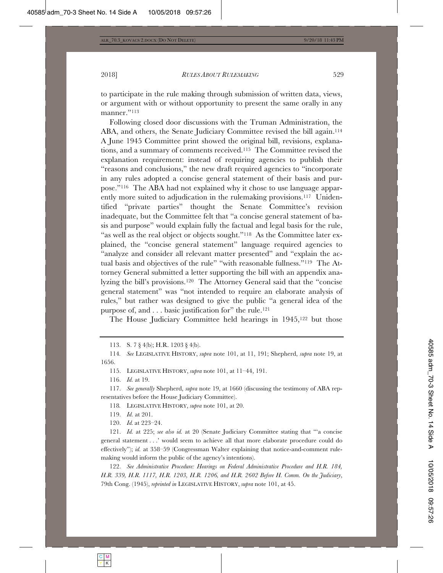to participate in the rule making through submission of written data, views, or argument with or without opportunity to present the same orally in any manner."113

Following closed door discussions with the Truman Administration, the ABA, and others, the Senate Judiciary Committee revised the bill again.<sup>114</sup> A June 1945 Committee print showed the original bill, revisions, explanations, and a summary of comments received.115 The Committee revised the explanation requirement: instead of requiring agencies to publish their "reasons and conclusions," the new draft required agencies to "incorporate in any rules adopted a concise general statement of their basis and purpose."116 The ABA had not explained why it chose to use language apparently more suited to adjudication in the rulemaking provisions.117 Unidentified "private parties" thought the Senate Committee's revision inadequate, but the Committee felt that "a concise general statement of basis and purpose" would explain fully the factual and legal basis for the rule, "as well as the real object or objects sought."<sup>118</sup> As the Committee later explained, the "concise general statement" language required agencies to "analyze and consider all relevant matter presented" and "explain the actual basis and objectives of the rule" "with reasonable fullness."119 The Attorney General submitted a letter supporting the bill with an appendix analyzing the bill's provisions.120 The Attorney General said that the "concise general statement" was "not intended to require an elaborate analysis of rules," but rather was designed to give the public "a general idea of the purpose of, and . . . basic justification for" the rule.121

The House Judiciary Committee held hearings in 1945,<sup>122</sup> but those

116. *Id.* at 19.

117. *See generally* Shepherd, *supra* note 19, at 1660 (discussing the testimony of ABA representatives before the House Judiciary Committee).

118*.* LEGISLATIVE HISTORY, *supra* note 101, at 20.

119. *Id.* at 201.

120. *Id.* at 223–24.

121. *Id.* at 225; *see also id.* at 20 (Senate Judiciary Committee stating that "'a concise general statement . . .' would seem to achieve all that more elaborate procedure could do effectively"); *id.* at 358–59 (Congressman Walter explaining that notice-and-comment rulemaking would inform the public of the agency's intentions).

122. *See Administrative Procedure: Hearings on Federal Administrative Procedure and H.R. 184, H.R. 339, H.R. 1117, H.R. 1203, H.R. 1206, and H.R. 2602 Before H. Comm. On the Judiciary*, 79th Cong. (1945), *reprinted in* LEGISLATIVE HISTORY, *supra* note 101, at 45.

<sup>113.</sup> S. 7 § 4(b); H.R. 1203 § 4(b).

<sup>114</sup>*. See* LEGISLATIVE HISTORY, *supra* note 101, at 11, 191; Shepherd, *supra* note 19, at 1656.

<sup>115.</sup> LEGISLATIVE HISTORY, *supra* note 101, at 11–44, 191.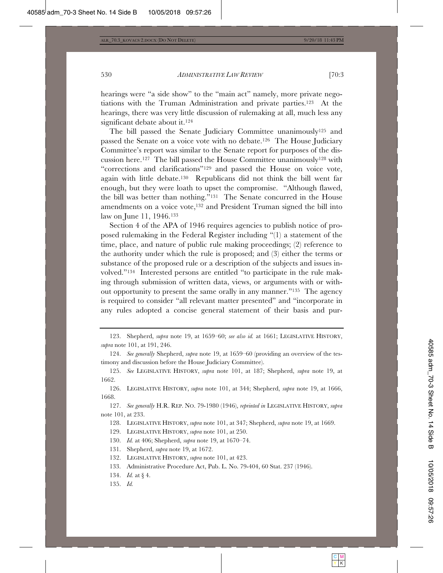hearings were "a side show" to the "main act" namely, more private negotiations with the Truman Administration and private parties.123 At the hearings, there was very little discussion of rulemaking at all, much less any significant debate about it.124

The bill passed the Senate Judiciary Committee unanimously125 and passed the Senate on a voice vote with no debate.126 The House Judiciary Committee's report was similar to the Senate report for purposes of the discussion here.<sup>127</sup> The bill passed the House Committee unanimously<sup>128</sup> with "corrections and clarifications"129 and passed the House on voice vote, again with little debate.130 Republicans did not think the bill went far enough, but they were loath to upset the compromise. "Although flawed, the bill was better than nothing."131 The Senate concurred in the House amendments on a voice vote,132 and President Truman signed the bill into law on June 11, 1946.133

Section 4 of the APA of 1946 requires agencies to publish notice of proposed rulemaking in the Federal Register including "(1) a statement of the time, place, and nature of public rule making proceedings; (2) reference to the authority under which the rule is proposed; and (3) either the terms or substance of the proposed rule or a description of the subjects and issues involved."134 Interested persons are entitled "to participate in the rule making through submission of written data, views, or arguments with or without opportunity to present the same orally in any manner."135 The agency is required to consider "all relevant matter presented" and "incorporate in any rules adopted a concise general statement of their basis and pur-

126. LEGISLATIVE HISTORY, *supra* note 101, at 344; Shepherd, *supra* note 19, at 1666, 1668.

127. *See generally* H.R. REP. NO. 79-1980 (1946), *reprinted in* LEGISLATIVE HISTORY, *supra* note 101, at 233.

128. LEGISLATIVE HISTORY, *supra* note 101, at 347; Shepherd, *supra* note 19, at 1669.

129. LEGISLATIVE HISTORY, *supra* note 101, at 250.

130. *Id.* at 406; Shepherd, *supra* note 19, at 1670–74.

131. Shepherd, *supra* note 19, at 1672.

132. LEGISLATIVE HISTORY, *supra* note 101, at 423.

133. Administrative Procedure Act, Pub. L. No. 79-404, 60 Stat. 237 (1946).

- 134. *Id.* at § 4.
- 135. *Id.*

<sup>123.</sup> Shepherd, *supra* note 19, at 1659–60; *see also id.* at 1661; LEGISLATIVE HISTORY, *supra* note 101, at 191, 246.

<sup>124.</sup> *See generally* Shepherd, *supra* note 19, at 1659–60 (providing an overview of the testimony and discussion before the House Judiciary Committee).

<sup>125.</sup> *See* LEGISLATIVE HISTORY, *supra* note 101, at 187; Shepherd, *supra* note 19, at 1662.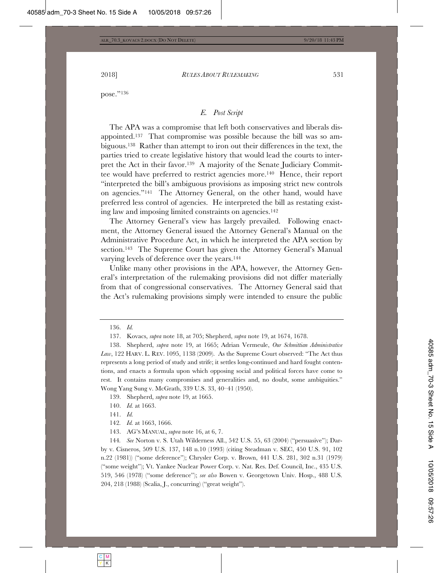pose."136

# *E. Post Script*

The APA was a compromise that left both conservatives and liberals disappointed.137 That compromise was possible because the bill was so ambiguous.138 Rather than attempt to iron out their differences in the text, the parties tried to create legislative history that would lead the courts to interpret the Act in their favor.139 A majority of the Senate Judiciary Committee would have preferred to restrict agencies more.140 Hence, their report "interpreted the bill's ambiguous provisions as imposing strict new controls on agencies."141 The Attorney General, on the other hand, would have preferred less control of agencies. He interpreted the bill as restating existing law and imposing limited constraints on agencies.142

The Attorney General's view has largely prevailed. Following enactment, the Attorney General issued the Attorney General's Manual on the Administrative Procedure Act, in which he interpreted the APA section by section.<sup>143</sup> The Supreme Court has given the Attorney General's Manual varying levels of deference over the years.144

Unlike many other provisions in the APA, however, the Attorney General's interpretation of the rulemaking provisions did not differ materially from that of congressional conservatives. The Attorney General said that the Act's rulemaking provisions simply were intended to ensure the public

138. Shepherd, *supra* note 19, at 1665; Adrian Vermeule, *Our Schmittian Administrative Law*, 122 HARV. L. REV. 1095, 1138 (2009). As the Supreme Court observed: "The Act thus represents a long period of study and strife; it settles long-continued and hard fought contentions, and enacts a formula upon which opposing social and political forces have come to rest. It contains many compromises and generalities and, no doubt, some ambiguities." Wong Yang Sung v. McGrath, 339 U.S. 33, 40–41 (1950).

139. Shepherd, *supra* note 19, at 1665.

140. *Id.* at 1663.

144*. See* Norton v. S. Utah Wilderness All., 542 U.S. 55, 63 (2004) ("persuasive"); Darby v. Cisneros, 509 U.S. 137, 148 n.10 (1993) (citing Steadman v. SEC, 450 U.S. 91, 102 n.22 (1981)) ("some deference"); Chrysler Corp. v. Brown, 441 U.S. 281, 302 n.31 (1979) ("some weight"); Vt. Yankee Nuclear Power Corp. v. Nat. Res. Def. Council, Inc., 435 U.S. 519, 546 (1978) ("some deference"); *see also* Bowen v. Georgetown Univ. Hosp., 488 U.S. 204, 218 (1988) (Scalia, J., concurring) ("great weight").

<sup>136.</sup> *Id.*

<sup>137.</sup> Kovacs, *supra* note 18, at 705; Shepherd, *supra* note 19, at 1674, 1678.

<sup>141.</sup> *Id.*

<sup>142</sup>*. Id.* at 1663, 1666.

<sup>143.</sup> AG'S MANUAL, *supra* note 16, at 6, 7.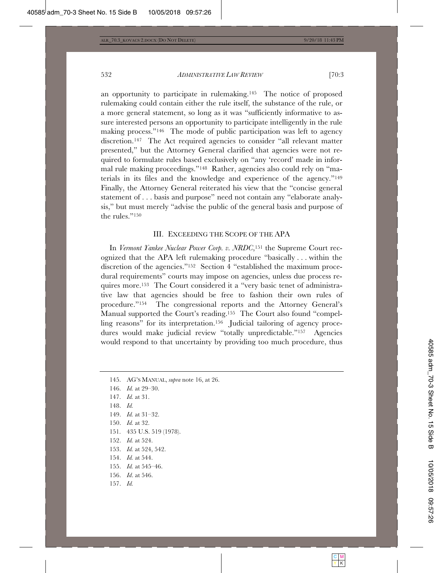an opportunity to participate in rulemaking.145 The notice of proposed rulemaking could contain either the rule itself, the substance of the rule, or a more general statement, so long as it was "sufficiently informative to assure interested persons an opportunity to participate intelligently in the rule making process."146 The mode of public participation was left to agency discretion.147 The Act required agencies to consider "all relevant matter presented," but the Attorney General clarified that agencies were not required to formulate rules based exclusively on "any 'record' made in informal rule making proceedings."148 Rather, agencies also could rely on "materials in its files and the knowledge and experience of the agency."149 Finally, the Attorney General reiterated his view that the "concise general statement of . . . basis and purpose" need not contain any "elaborate analysis," but must merely "advise the public of the general basis and purpose of the rules."150

#### III. EXCEEDING THE SCOPE OF THE APA

In *Vermont Yankee Nuclear Power Corp. v. NRDC*,151 the Supreme Court recognized that the APA left rulemaking procedure "basically . . . within the discretion of the agencies."152 Section 4 "established the maximum procedural requirements" courts may impose on agencies, unless due process requires more.153 The Court considered it a "very basic tenet of administrative law that agencies should be free to fashion their own rules of procedure."154 The congressional reports and the Attorney General's Manual supported the Court's reading.155 The Court also found "compelling reasons" for its interpretation.156 Judicial tailoring of agency procedures would make judicial review "totally unpredictable."157 Agencies would respond to that uncertainty by providing too much procedure, thus

145. AG'S MANUAL, *supra* note 16, at 26. 146. *Id.* at 29–30. 147. *Id.* at 31. 148. *Id.* 149. *Id.* at 31–32. 150. *Id.* at 32. 151. 435 U.S. 519 (1978). 152. *Id.* at 524. 153. *Id.* at 524, 542. 154. *Id.* at 544. 155. *Id.* at 545–46. 156. *Id*. at 546. 157. *Id.*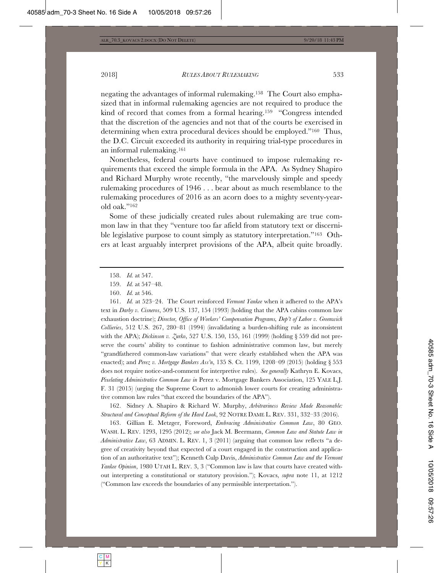negating the advantages of informal rulemaking.158 The Court also emphasized that in informal rulemaking agencies are not required to produce the kind of record that comes from a formal hearing.<sup>159</sup> "Congress intended that the discretion of the agencies and not that of the courts be exercised in determining when extra procedural devices should be employed."160 Thus, the D.C. Circuit exceeded its authority in requiring trial-type procedures in an informal rulemaking.161

Nonetheless, federal courts have continued to impose rulemaking requirements that exceed the simple formula in the APA. As Sydney Shapiro and Richard Murphy wrote recently, "the marvelously simple and speedy rulemaking procedures of 1946 . . . bear about as much resemblance to the rulemaking procedures of 2016 as an acorn does to a mighty seventy-yearold oak."162

Some of these judicially created rules about rulemaking are true common law in that they "venture too far afield from statutory text or discernible legislative purpose to count simply as statutory interpretation."163 Others at least arguably interpret provisions of the APA, albeit quite broadly.

158. *Id.* at 547.

161. *Id.* at 523–24. The Court reinforced *Vermont Yankee* when it adhered to the APA's text in *Darby v. Cisneros*, 509 U.S. 137, 154 (1993) (holding that the APA cabins common law exhaustion doctrine); *Director, Office of Workers' Compensation Programs, Dep't of Labor v. Greenwich Collieries*, 512 U.S. 267, 280–81 (1994) (invalidating a burden-shifting rule as inconsistent with the APA); *Dickinson v. Zurko*, 527 U.S. 150, 155, 161 (1999) (holding § 559 did not preserve the courts' ability to continue to fashion administrative common law, but merely "grandfathered common-law variations" that were clearly established when the APA was enacted); and *Perez v. Mortgage Bankers Ass'n*, 135 S. Ct. 1199, 1208–09 (2015) (holding § 553 does not require notice-and-comment for interpretive rules). *See generally* Kathryn E. Kovacs, *Pixelating Administrative Common Law in* Perez v. Mortgage Bankers Association, 125 YALE L.J. F. 31 (2015) (urging the Supreme Court to admonish lower courts for creating administrative common law rules "that exceed the boundaries of the APA").

162. Sidney A. Shapiro & Richard W. Murphy, *Arbitrariness Review Made Reasonable: Structural and Conceptual Reform of the Hard Look*, 92 NOTRE DAME L. REV. 331, 332–33 (2016).

163. Gillian E. Metzger, Foreword, *Embracing Administrative Common Law*, 80 GEO. WASH. L. REV. 1293, 1295 (2012); *see also* Jack M. Beermann, *Common Law and Statute Law in Administrative Law*, 63 ADMIN. L. REV. 1, 3 (2011) (arguing that common law reflects "a degree of creativity beyond that expected of a court engaged in the construction and application of an authoritative text"); Kenneth Culp Davis, *Administrative Common Law and the Vermont Yankee Opinion*, 1980 UTAH L. REV. 3, 3 ("Common law is law that courts have created without interpreting a constitutional or statutory provision."); Kovacs, *supra* note 11, at 1212 ("Common law exceeds the boundaries of any permissible interpretation.").

<sup>159.</sup> *Id.* at 547–48.

<sup>160.</sup> *Id.* at 546.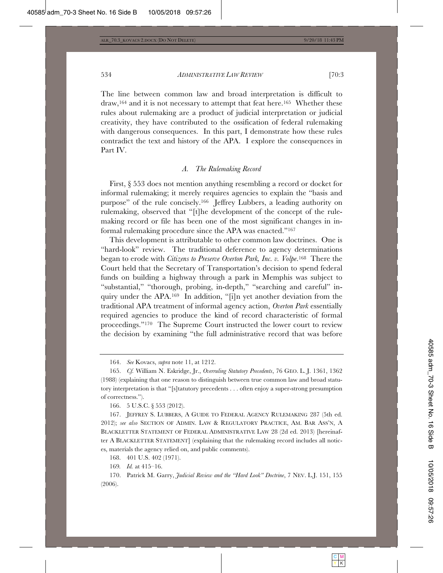The line between common law and broad interpretation is difficult to draw,<sup>164</sup> and it is not necessary to attempt that feat here.<sup>165</sup> Whether these rules about rulemaking are a product of judicial interpretation or judicial creativity, they have contributed to the ossification of federal rulemaking with dangerous consequences. In this part, I demonstrate how these rules contradict the text and history of the APA. I explore the consequences in Part IV.

#### *A. The Rulemaking Record*

First, § 553 does not mention anything resembling a record or docket for informal rulemaking; it merely requires agencies to explain the "basis and purpose" of the rule concisely.166 Jeffrey Lubbers, a leading authority on rulemaking, observed that "[t]he development of the concept of the rulemaking record or file has been one of the most significant changes in informal rulemaking procedure since the APA was enacted."167

This development is attributable to other common law doctrines. One is "hard-look" review. The traditional deference to agency determinations began to erode with *Citizens to Preserve Overton Park, Inc. v. Volpe*.168 There the Court held that the Secretary of Transportation's decision to spend federal funds on building a highway through a park in Memphis was subject to "substantial," "thorough, probing, in-depth," "searching and careful" inquiry under the APA.169 In addition, "[i]n yet another deviation from the traditional APA treatment of informal agency action, *Overton Park* essentially required agencies to produce the kind of record characteristic of formal proceedings."170 The Supreme Court instructed the lower court to review the decision by examining "the full administrative record that was before

166. 5 U.S.C. § 553 (2012).

167. JEFFREY S. LUBBERS, A GUIDE TO FEDERAL AGENCY RULEMAKING 287 (5th ed. 2012); *see also* SECTION OF ADMIN. LAW & REGULATORY PRACTICE, AM. BAR ASS'N, A BLACKLETTER STATEMENT OF FEDERAL ADMINISTRATIVE LAW 28 (2d ed. 2013) [hereinafter A BLACKLETTER STATEMENT] (explaining that the rulemaking record includes all notices, materials the agency relied on, and public comments).

168. 401 U.S. 402 (1971).

169*. Id.* at 415–16.

<sup>164.</sup> *See* Kovacs, *supra* note 11, at 1212.

<sup>165.</sup> *Cf.* William N. Eskridge, Jr., *Overruling Statutory Precedents*, 76 GEO. L. J. 1361, 1362 (1988) (explaining that one reason to distinguish between true common law and broad statutory interpretation is that "[s]tatutory precedents . . . often enjoy a super-strong presumption of correctness.").

<sup>170.</sup> Patrick M. Garry, *Judicial Review and the "Hard Look" Doctrine*, 7 NEV. L.J. 151, 155 (2006).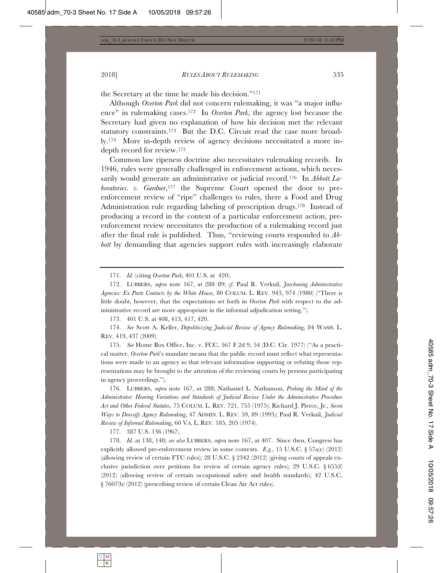the Secretary at the time he made his decision."171

Although *Overton Park* did not concern rulemaking, it was "a major influence" in rulemaking cases.172 In *Overton Park*, the agency lost because the Secretary had given no explanation of how his decision met the relevant statutory constraints.<sup>173</sup> But the D.C. Circuit read the case more broadly.174 More in-depth review of agency decisions necessitated a more indepth record for review.175

Common law ripeness doctrine also necessitates rulemaking records. In 1946, rules were generally challenged in enforcement actions, which necessarily would generate an administrative or judicial record.176 In *Abbott Laboratories. v. Gardner*,<sup>177</sup> the Supreme Court opened the door to preenforcement review of "ripe" challenges to rules, there a Food and Drug Administration rule regarding labeling of prescription drugs.178 Instead of producing a record in the context of a particular enforcement action, preenforcement review necessitates the production of a rulemaking record just after the final rule is published. Thus, "reviewing courts responded to *Abbott* by demanding that agencies support rules with increasingly elaborate

171. *Id.* (citing *Overton Park*, 401 U.S. at 420).

172. LUBBERS, *supra* note 167, at 288–89; *cf.* Paul R. Verkuil, *Jawboning Administrative Agencies: Ex Parte Contacts by the White House*, 80 COLUM. L. REV. 943, 974 (1980) ("There is little doubt, however, that the expectations set forth in *Overton Park* with respect to the administrative record are more appropriate in the informal adjudication setting.").

173. 401 U.S. at 408, 413, 417, 420.

174. *See* Scott A. Keller, *Depoliticizing Judicial Review of Agency Rulemaking*, 84 WASH. L. REV. 419, 437 (2009).

175. *See* Home Box Office, Inc. v. FCC, 567 F.2d 9, 54 (D.C. Cir. 1977) ("As a practical matter, *Overton Park*'s mandate means that the public record must reflect what representations were made to an agency so that relevant information supporting or refuting those representations may be brought to the attention of the reviewing courts by persons participating in agency proceedings.").

176. LUBBERS, *supra* note 167, at 288; Nathaniel L. Nathanson, *Probing the Mind of the Administrator: Hearing Variations and Standards of Judicial Review Under the Administrative Procedure Act and Other Federal Statutes*, 75 COLUM. L. REV. 721, 755 (1975); Richard J. Pierce, Jr., *Seven Ways to Deossify Agency Rulemaking*, 47 ADMIN. L. REV. 59, 89 (1995); Paul R. Verkuil, *Judicial Review of Informal Rulemaking*, 60 VA. L. REV. 185, 205 (1974).

177. 387 U.S. 136 (1967).

178. *Id.* at 138, 148; *see also* LUBBERS, *supra* note 167, at 407. Since then, Congress has explicitly allowed pre-enforcement review in some contexts.  $E.g., 15 \text{ U.S.C.} \S 57a(e) (2012)$ (allowing review of certain FTC rules); 28 U.S.C. § 2342 (2012) (giving courts of appeals exclusive jurisdiction over petitions for review of certain agency rules); 29 U.S.C.  $\S 655(f)$ (2012) (allowing review of certain occupational safety and health standards); 42 U.S.C. § 7607(b) (2012) (prescribing review of certain Clean Air Act rules).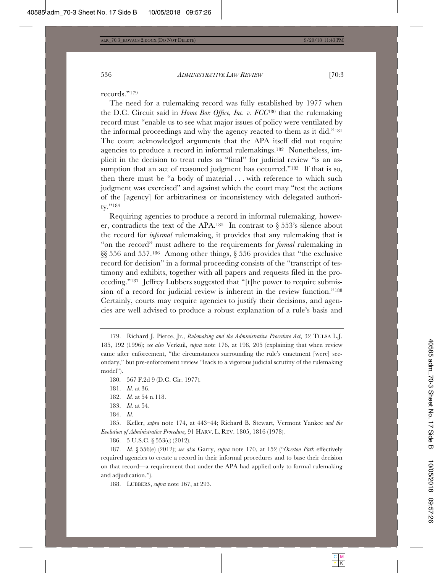records."179

The need for a rulemaking record was fully established by 1977 when the D.C. Circuit said in *Home Box Office, Inc. v. FCC*180 that the rulemaking record must "enable us to see what major issues of policy were ventilated by the informal proceedings and why the agency reacted to them as it did."181 The court acknowledged arguments that the APA itself did not require agencies to produce a record in informal rulemakings.182 Nonetheless, implicit in the decision to treat rules as "final" for judicial review "is an assumption that an act of reasoned judgment has occurred."<sup>183</sup> If that is so, then there must be "a body of material . . . with reference to which such judgment was exercised" and against which the court may "test the actions of the [agency] for arbitrariness or inconsistency with delegated authority."184

Requiring agencies to produce a record in informal rulemaking, however, contradicts the text of the APA.<sup>185</sup> In contrast to  $\S 553$ 's silence about the record for *informal* rulemaking, it provides that any rulemaking that is "on the record" must adhere to the requirements for *formal* rulemaking in §§ 556 and 557.186 Among other things, § 556 provides that "the exclusive record for decision" in a formal proceeding consists of the "transcript of testimony and exhibits, together with all papers and requests filed in the proceeding."187 Jeffrey Lubbers suggested that "[t]he power to require submission of a record for judicial review is inherent in the review function."188 Certainly, courts may require agencies to justify their decisions, and agencies are well advised to produce a robust explanation of a rule's basis and

185. Keller, *supra* note 174, at 443–44; Richard B. Stewart, Vermont Yankee *and the Evolution of Administrative Procedure*, 91 HARV. L. REV. 1805, 1816 (1978).

186. 5 U.S.C. § 553(c) (2012).

187. *Id.* § 556(e) (2012); *see also* Garry, *supra* note 170, at 152 ("*Overton Park* effectively required agencies to create a record in their informal procedures and to base their decision on that record—a requirement that under the APA had applied only to formal rulemaking and adjudication.").

188. LUBBERS, *supra* note 167, at 293.

<sup>179.</sup> Richard J. Pierce, Jr., *Rulemaking and the Administrative Procedure Act*, 32 TULSA L.J. 185, 192 (1996); *see also* Verkuil, *supra* note 176, at 198, 205 (explaining that when review came after enforcement, "the circumstances surrounding the rule's enactment [were] secondary," but pre-enforcement review "leads to a vigorous judicial scrutiny of the rulemaking model").

<sup>180. 567</sup> F.2d 9 (D.C. Cir. 1977).

<sup>181.</sup> *Id.* at 36.

<sup>182.</sup> *Id.* at 54 n.118.

<sup>183.</sup> *Id.* at 54.

<sup>184.</sup> *Id.*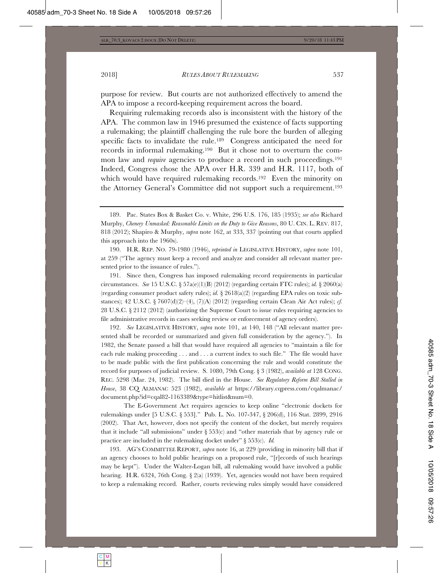purpose for review. But courts are not authorized effectively to amend the APA to impose a record-keeping requirement across the board.

Requiring rulemaking records also is inconsistent with the history of the APA. The common law in 1946 presumed the existence of facts supporting a rulemaking; the plaintiff challenging the rule bore the burden of alleging specific facts to invalidate the rule.<sup>189</sup> Congress anticipated the need for records in informal rulemaking.190 But it chose not to overturn the common law and *require* agencies to produce a record in such proceedings.191 Indeed, Congress chose the APA over H.R. 339 and H.R. 1117, both of which would have required rulemaking records.<sup>192</sup> Even the minority on the Attorney General's Committee did not support such a requirement.193

190. H.R. REP. NO. 79-1980 (1946), *reprinted in* LEGISLATIVE HISTORY, *supra* note 101, at 259 ("The agency must keep a record and analyze and consider all relevant matter presented prior to the issuance of rules.").

191. Since then, Congress has imposed rulemaking record requirements in particular circumstances. *See* 15 U.S.C. § 57a(e)(1)(B) (2012) (regarding certain FTC rules); *id.* § 2060(a) (regarding consumer product safety rules); *id.* § 2618(a)(2) (regarding EPA rules on toxic substances); 42 U.S.C. § 7607(d)(2)–(4), (7)(A) (2012) (regarding certain Clean Air Act rules); *cf.* 28 U.S.C. § 2112 (2012) (authorizing the Supreme Court to issue rules requiring agencies to file administrative records in cases seeking review or enforcement of agency orders).

192. *See* LEGISLATIVE HISTORY, *supra* note 101, at 140, 148 ("All relevant matter presented shall be recorded or summarized and given full consideration by the agency."). In 1982, the Senate passed a bill that would have required all agencies to "maintain a file for each rule making proceeding . . . and . . . a current index to such file." The file would have to be made public with the first publication concerning the rule and would constitute the record for purposes of judicial review. S. 1080, 79th Cong. § 3 (1982), *available at* 128 CONG. REC. 5298 (Mar. 24, 1982). The bill died in the House. *See Regulatory Reform Bill Stalled in House*, 38 CQ ALMANAC 523 (1982), *available at* https://library.cqpress.com/cqalmanac/ document.php?id=cqal82-1163389&type=hitlist&num=0.

 The E-Government Act requires agencies to keep online "electronic dockets for rulemakings under [5 U.S.C. § 553]." Pub. L. No. 107-347, § 206(d), 116 Stat. 2899, 2916 (2002). That Act, however, does not specify the content of the docket, but merely requires that it include "all submissions" under  $\S 553(c)$  and "other materials that by agency rule or practice are included in the rulemaking docket under" § 553(c). *Id.*

193. AG'S COMMITTEE REPORT, *supra* note 16, at 229 (providing in minority bill that if an agency chooses to hold public hearings on a proposed rule, "[r]ecords of such hearings may be kept"). Under the Walter-Logan bill, all rulemaking would have involved a public hearing. H.R. 6324, 76th Cong. § 2(a) (1939). Yet, agencies would not have been required to keep a rulemaking record. Rather, courts reviewing rules simply would have considered

<sup>189.</sup> Pac. States Box & Basket Co. v. White, 296 U.S. 176, 185 (1935); *see also* Richard Murphy, *Chenery Unmasked: Reasonable Limits on the Duty to Give Reasons*, 80 U. CIN. L. REV. 817, 818 (2012); Shapiro & Murphy, *supra* note 162, at 333, 337 (pointing out that courts applied this approach into the 1960s).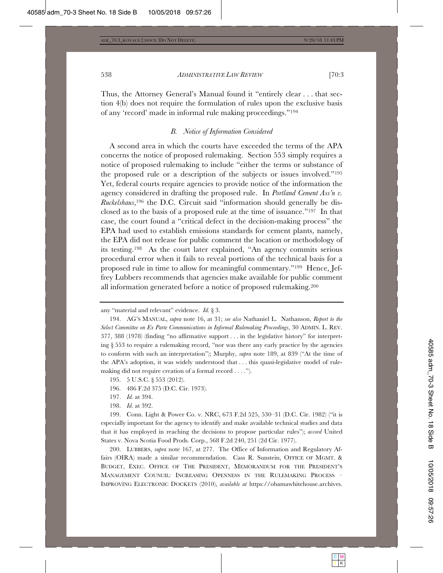Thus, the Attorney General's Manual found it "entirely clear . . . that section 4(b) does not require the formulation of rules upon the exclusive basis of any 'record' made in informal rule making proceedings."194

# *B. Notice of Information Considered*

A second area in which the courts have exceeded the terms of the APA concerns the notice of proposed rulemaking. Section 553 simply requires a notice of proposed rulemaking to include "either the terms or substance of the proposed rule or a description of the subjects or issues involved."195 Yet, federal courts require agencies to provide notice of the information the agency considered in drafting the proposed rule. In *Portland Cement Ass'n v. Ruckelshaus*,196 the D.C. Circuit said "information should generally be disclosed as to the basis of a proposed rule at the time of issuance."197 In that case, the court found a "critical defect in the decision-making process" the EPA had used to establish emissions standards for cement plants, namely, the EPA did not release for public comment the location or methodology of its testing.198 As the court later explained, "An agency commits serious procedural error when it fails to reveal portions of the technical basis for a proposed rule in time to allow for meaningful commentary."199 Hence, Jeffrey Lubbers recommends that agencies make available for public comment all information generated before a notice of proposed rulemaking.200

198. *Id.* at 392.

199. Conn. Light & Power Co. v. NRC, 673 F.2d 525, 530–31 (D.C. Cir. 1982) ("it is especially important for the agency to identify and make available technical studies and data that it has employed in reaching the decisions to propose particular rules"); *accord* United States v. Nova Scotia Food Prods. Corp., 568 F.2d 240, 251 (2d Cir. 1977).

200. LUBBERS, *supra* note 167, at 277. The Office of Information and Regulatory Affairs (OIRA) made a similar recommendation. Cass R. Sunstein, OFFICE OF MGMT. & BUDGET, EXEC. OFFICE OF THE PRESIDENT, MEMORANDUM FOR THE PRESIDENT'S MANAGEMENT COUNCIL: INCREASING OPENNESS IN THE RULEMAKING PROCESS – IMPROVING ELECTRONIC DOCKETS (2010), *available at* https://obamawhitehouse.archives.

any "material and relevant" evidence. *Id.* § 3.

<sup>194.</sup> AG'S MANUAL, *supra* note 16, at 31; *see also* Nathaniel L. Nathanson, *Report to the Select Committee on Ex Parte Communications in Informal Rulemaking Proceedings*, 30 ADMIN. L. REV. 377, 388 (1978) (finding "no affirmative support . . . in the legislative history" for interpreting § 553 to require a rulemaking record, "nor was there any early practice by the agencies to conform with such an interpretation"); Murphy, *supra* note 189, at 839 ("At the time of the APA's adoption, it was widely understood that . . . this quasi-legislative model of rulemaking did not require creation of a formal record . . . .").

<sup>195. 5</sup> U.S.C. § 553 (2012).

<sup>196. 486</sup> F.2d 375 (D.C. Cir. 1973).

<sup>197.</sup> *Id.* at 394.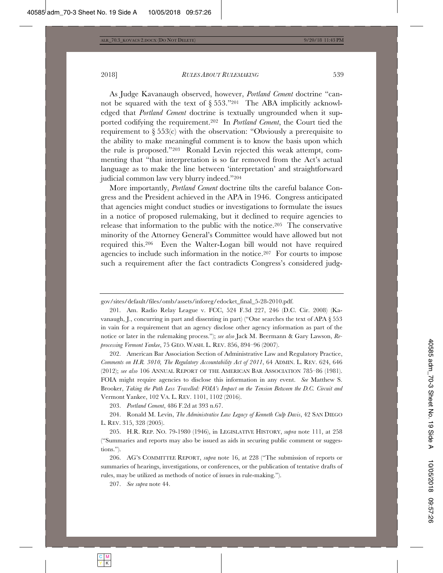As Judge Kavanaugh observed, however, *Portland Cement* doctrine "cannot be squared with the text of  $\S 553$ ."201 The ABA implicitly acknowledged that *Portland Cement* doctrine is textually ungrounded when it supported codifying the requirement.202 In *Portland Cement*, the Court tied the requirement to  $\S 553(c)$  with the observation: "Obviously a prerequisite to the ability to make meaningful comment is to know the basis upon which the rule is proposed."203 Ronald Levin rejected this weak attempt, commenting that "that interpretation is so far removed from the Act's actual language as to make the line between 'interpretation' and straightforward judicial common law very blurry indeed."204

More importantly, *Portland Cement* doctrine tilts the careful balance Congress and the President achieved in the APA in 1946. Congress anticipated that agencies might conduct studies or investigations to formulate the issues in a notice of proposed rulemaking, but it declined to require agencies to release that information to the public with the notice.205 The conservative minority of the Attorney General's Committee would have allowed but not required this.206 Even the Walter-Logan bill would not have required agencies to include such information in the notice.207 For courts to impose such a requirement after the fact contradicts Congress's considered judg-

gov/sites/default/files/omb/assets/inforeg/edocket\_final\_5-28-2010.pdf.

201. Am. Radio Relay League v. FCC, 524 F.3d 227, 246 (D.C. Cir. 2008) (Kavanaugh, J., concurring in part and dissenting in part) ("One searches the text of APA § 553 in vain for a requirement that an agency disclose other agency information as part of the notice or later in the rulemaking process."); *see also* Jack M. Beermann & Gary Lawson, *Reprocessing Vermont Yankee*, 75 GEO. WASH. L. REV. 856, 894–96 (2007).

202. American Bar Association Section of Administrative Law and Regulatory Practice, *Comments on H.R. 3010, The Regulatory Accountability Act of 2011*, 64 ADMIN. L. REV. 624, 646 (2012); *see also* 106 ANNUAL REPORT OF THE AMERICAN BAR ASSOCIATION 785–86 (1981). FOIA might require agencies to disclose this information in any event. *See* Matthew S. Brooker, *Taking the Path Less Travelled: FOIA's Impact on the Tension Between the D.C. Circuit and*  Vermont Yankee, 102 VA. L. REV. 1101, 1102 (2016).

203. *Portland Cement*, 486 F.2d at 393 n.67.

204. Ronald M. Levin, *The Administrative Law Legacy of Kenneth Culp Davis*, 42 SAN DIEGO L. REV. 315, 328 (2005).

205. H.R. REP. NO. 79-1980 (1946), in LEGISLATIVE HISTORY, *supra* note 111, at 258 ("Summaries and reports may also be issued as aids in securing public comment or suggestions.").

206. AG'S COMMITTEE REPORT, *supra* note 16, at 228 ("The submission of reports or summaries of hearings, investigations, or conferences, or the publication of tentative drafts of rules, may be utilized as methods of notice of issues in rule-making.").

207. *See supra* note 44.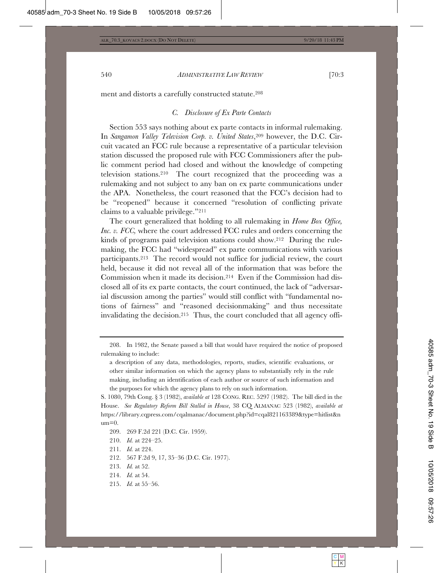ment and distorts a carefully constructed statute.208

## *C. Disclosure of Ex Parte Contacts*

Section 553 says nothing about ex parte contacts in informal rulemaking. In *Sangamon Valley Television Corp. v. United States*,<sup>209</sup> however, the D.C. Circuit vacated an FCC rule because a representative of a particular television station discussed the proposed rule with FCC Commissioners after the public comment period had closed and without the knowledge of competing television stations.210 The court recognized that the proceeding was a rulemaking and not subject to any ban on ex parte communications under the APA. Nonetheless, the court reasoned that the FCC's decision had to be "reopened" because it concerned "resolution of conflicting private claims to a valuable privilege."211

The court generalized that holding to all rulemaking in *Home Box Office, Inc. v. FCC,* where the court addressed FCC rules and orders concerning the kinds of programs paid television stations could show.212 During the rulemaking, the FCC had "widespread" ex parte communications with various participants.213 The record would not suffice for judicial review, the court held, because it did not reveal all of the information that was before the Commission when it made its decision.214 Even if the Commission had disclosed all of its ex parte contacts, the court continued, the lack of "adversarial discussion among the parties" would still conflict with "fundamental notions of fairness" and "reasoned decisionmaking" and thus necessitate invalidating the decision.215 Thus, the court concluded that all agency offi-

- 209. 269 F.2d 221 (D.C. Cir. 1959).
- 210. *Id.* at 224–25.
- 211. *Id.* at 224.
- 212. 567 F.2d 9, 17, 35–36 (D.C. Cir. 1977).
- 213. *Id.* at 52.
- 214. *Id.* at 54.
- 215. *Id.* at 55–56.

<sup>208.</sup> In 1982, the Senate passed a bill that would have required the notice of proposed rulemaking to include:

a description of any data, methodologies, reports, studies, scientific evaluations, or other similar information on which the agency plans to substantially rely in the rule making, including an identification of each author or source of such information and the purposes for which the agency plans to rely on such information.

S. 1080, 79th Cong. § 3 (1982), *available at* 128 CONG. REC. 5297 (1982). The bill died in the House. *See Regulatory Reform Bill Stalled in House*, 38 CQ ALMANAC 523 (1982), *available at* https://library.cqpress.com/cqalmanac/document.php?id=cqal821163389&type=hitlist&n  $um=0$ .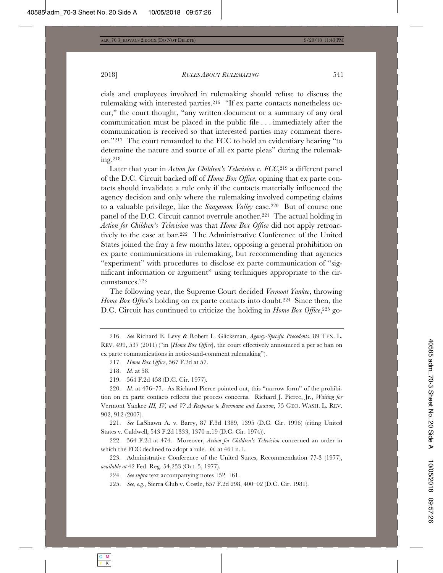cials and employees involved in rulemaking should refuse to discuss the rulemaking with interested parties.216 "If ex parte contacts nonetheless occur," the court thought, "any written document or a summary of any oral communication must be placed in the public file . . . immediately after the communication is received so that interested parties may comment thereon."217 The court remanded to the FCC to hold an evidentiary hearing "to determine the nature and source of all ex parte pleas" during the rulemaking.218

Later that year in *Action for Children's Television v. FCC*,<sup>219</sup> a different panel of the D.C. Circuit backed off of *Home Box Office*, opining that ex parte contacts should invalidate a rule only if the contacts materially influenced the agency decision and only where the rulemaking involved competing claims to a valuable privilege, like the *Sangamon Valley* case.220 But of course one panel of the D.C. Circuit cannot overrule another.221 The actual holding in *Action for Children's Television* was that *Home Box Office* did not apply retroactively to the case at bar.222 The Administrative Conference of the United States joined the fray a few months later, opposing a general prohibition on ex parte communications in rulemaking, but recommending that agencies "experiment" with procedures to disclose ex parte communication of "significant information or argument" using techniques appropriate to the circumstances.223

The following year, the Supreme Court decided *Vermont Yankee*, throwing *Home Box Office*'s holding on ex parte contacts into doubt.<sup>224</sup> Since then, the D.C. Circuit has continued to criticize the holding in *Home Box Office*,<sup>225</sup> go-

216. *See* Richard E. Levy & Robert L. Glicksman, *Agency-Specific Precedents*, 89 TEX. L. REV. 499, 537 (2011) ("in [*Home Box Office*], the court effectively announced a per se ban on ex parte communications in notice-and-comment rulemaking").

218. *Id.* at 58.

219. 564 F.2d 458 (D.C. Cir. 1977).

220. *Id.* at 476–77. As Richard Pierce pointed out, this "narrow form" of the prohibition on ex parte contacts reflects due process concerns. Richard J. Pierce, Jr., *Waiting for*  Vermont Yankee *III, IV, and V? A Response to Beermann and Lawson*, 75 GEO. WASH. L. REV. 902, 912 (2007).

221. *See* LaShawn A. v. Barry, 87 F.3d 1389, 1395 (D.C. Cir. 1996) (citing United States v. Caldwell, 543 F.2d 1333, 1370 n.19 (D.C. Cir. 1974)).

222. 564 F.2d at 474. Moreover, *Action for Children's Television* concerned an order in which the FCC declined to adopt a rule. *Id.* at 461 n.1.

223. Administrative Conference of the United States, Recommendation 77-3 (1977), *available at* 42 Fed. Reg. 54,253 (Oct. 5, 1977).

224. *See supra* text accompanying notes 152–161.

225. *See, e.g.*, Sierra Club v. Costle, 657 F.2d 298, 400–02 (D.C. Cir. 1981).

<sup>217.</sup> *Home Box Office*, 567 F.2d at 57.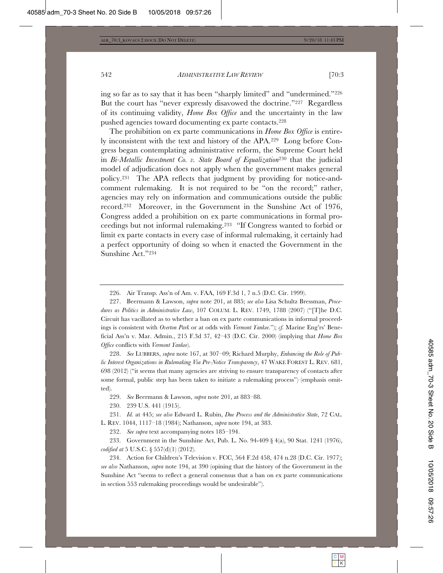ing so far as to say that it has been "sharply limited" and "undermined."226 But the court has "never expressly disavowed the doctrine."227 Regardless of its continuing validity, *Home Box Office* and the uncertainty in the law pushed agencies toward documenting ex parte contacts.228

The prohibition on ex parte communications in *Home Box Office* is entirely inconsistent with the text and history of the APA.229 Long before Congress began contemplating administrative reform, the Supreme Court held in *Bi-Metallic Investment Co. v. State Board of Equalization*230 that the judicial model of adjudication does not apply when the government makes general policy.231 The APA reflects that judgment by providing for notice-andcomment rulemaking. It is not required to be "on the record;" rather, agencies may rely on information and communications outside the public record.232 Moreover, in the Government in the Sunshine Act of 1976, Congress added a prohibition on ex parte communications in formal proceedings but not informal rulemaking.233 "If Congress wanted to forbid or limit ex parte contacts in every case of informal rulemaking, it certainly had a perfect opportunity of doing so when it enacted the Government in the Sunshine Act."234

228. *See* LUBBERS, *supra* note 167, at 307–09; Richard Murphy, *Enhancing the Role of Public Interest Organizations in Rulemaking Via Pre-Notice Transparency*, 47 WAKE FOREST L. REV. 681, 698 (2012) ("it seems that many agencies are striving to ensure transparency of contacts after some formal, public step has been taken to initiate a rulemaking process") (emphasis omitted).

229. *See* Beermann & Lawson, *supra* note 201, at 883–88.

230. 239 U.S. 441 (1915).

231. *Id.* at 445; *see also* Edward L. Rubin, *Due Process and the Administrative State*, 72 CAL. L. REV. 1044, 1117–18 (1984); Nathanson, *supra* note 194, at 383.

232. *See supra* text accompanying notes 185–194.

233. Government in the Sunshine Act, Pub. L. No. 94-409 § 4(a), 90 Stat. 1241 (1976), *codified at* 5 U.S.C. § 557(d)(1) (2012).

234. Action for Children's Television v. FCC, 564 F.2d 458, 474 n.28 (D.C. Cir. 1977); *see also* Nathanson, *supra* note 194, at 390 (opining that the history of the Government in the Sunshine Act "seems to reflect a general consensus that a ban on ex parte communications in section 553 rulemaking proceedings would be undesirable").

<sup>226.</sup> Air Transp. Ass'n of Am. v. FAA, 169 F.3d 1, 7 n.5 (D.C. Cir. 1999).

<sup>227.</sup> Beermann & Lawson, *supra* note 201, at 885; *see also* Lisa Schultz Bressman, *Procedures as Politics in Administrative Law*, 107 COLUM. L. REV. 1749, 1788 (2007) ("[T]he D.C. Circuit has vacillated as to whether a ban on ex parte communications in informal proceedings is consistent with *Overton Park* or at odds with *Vermont Yankee*."); *cf.* Marine Eng'rs' Beneficial Ass'n v. Mar. Admin., 215 F.3d 37, 42–43 (D.C. Cir. 2000) (implying that *Home Box Office* conflicts with *Vermont Yankee*).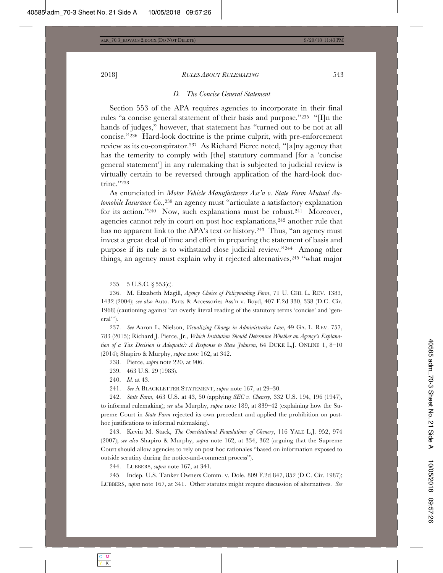#### *D. The Concise General Statement*

Section 553 of the APA requires agencies to incorporate in their final rules "a concise general statement of their basis and purpose."235 "[I]n the hands of judges," however, that statement has "turned out to be not at all concise."236 Hard-look doctrine is the prime culprit, with pre-enforcement review as its co-conspirator.237 As Richard Pierce noted, "[a]ny agency that has the temerity to comply with [the] statutory command [for a 'concise general statement'] in any rulemaking that is subjected to judicial review is virtually certain to be reversed through application of the hard-look doctrine."238

As enunciated in *Motor Vehicle Manufacturers Ass'n v. State Farm Mutual Automobile Insurance Co.*,<sup>239</sup> an agency must "articulate a satisfactory explanation for its action."240 Now, such explanations must be robust.241 Moreover, agencies cannot rely in court on post hoc explanations,242 another rule that has no apparent link to the APA's text or history.<sup>243</sup> Thus, "an agency must invest a great deal of time and effort in preparing the statement of basis and purpose if its rule is to withstand close judicial review."244 Among other things, an agency must explain why it rejected alternatives, <sup>245</sup> "what major

237. *See* Aaron L. Nielson, *Visualizing Change in Administrative Law*, 49 GA. L. REV. 757, 783 (2015); Richard J. Pierce, Jr., *Which Institution Should Determine Whether an Agency's Explanation of a Tax Decision is Adequate?: A Response to Steve Johnson*, 64 DUKE L.J. ONLINE 1, 8–10 (2014); Shapiro & Murphy, *supra* note 162, at 342.

238. Pierce, *supra* note 220, at 906.

239. 463 U.S. 29 (1983).

240. *Id.* at 43.

241. *See* A BLACKLETTER STATEMENT, *supra* note 167, at 29–30.

242. *State Farm*, 463 U.S. at 43, 50 (applying *SEC v. Chenery*, 332 U.S. 194, 196 (1947), to informal rulemaking); *see also* Murphy, *supra* note 189, at 839–42 (explaining how the Supreme Court in *State Farm* rejected its own precedent and applied the prohibition on posthoc justifications to informal rulemaking).

243. Kevin M. Stack, *The Constitutional Foundations of Chenery*, 116 YALE L.J. 952, 974 (2007); *see also* Shapiro & Murphy, *supra* note 162, at 334, 362 (arguing that the Supreme Court should allow agencies to rely on post hoc rationales "based on information exposed to outside scrutiny during the notice-and-comment process").

244. LUBBERS, *supra* note 167, at 341.

245. Indep. U.S. Tanker Owners Comm. v. Dole, 809 F.2d 847, 852 (D.C. Cir. 1987); LUBBERS, *supra* note 167, at 341. Other statutes might require discussion of alternatives. *See*

<sup>235. 5</sup> U.S.C. § 553(c).

<sup>236.</sup> M. Elizabeth Magill, *Agency Choice of Policymaking Form*, 71 U. CHI. L. REV. 1383, 1432 (2004); *see also* Auto. Parts & Accessories Ass'n v. Boyd, 407 F.2d 330, 338 (D.C. Cir. 1968) (cautioning against "an overly literal reading of the statutory terms 'concise' and 'general'").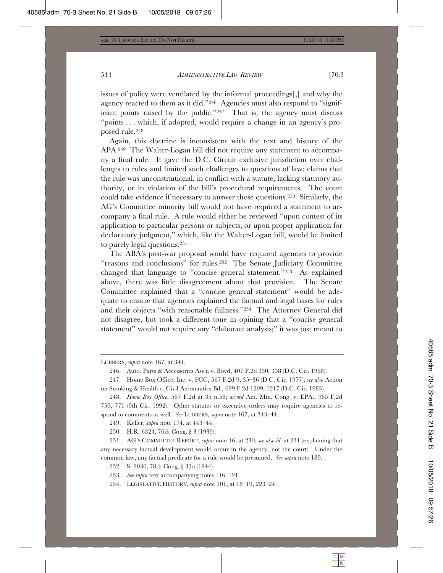issues of policy were ventilated by the informal proceedings[,] and why the agency reacted to them as it did."246 Agencies must also respond to "significant points raised by the public."247 That is, the agency must discuss "points . . . which, if adopted, would require a change in an agency's proposed rule.248

Again, this doctrine is inconsistent with the text and history of the APA.249 The Walter-Logan bill did not require any statement to accompany a final rule. It gave the D.C. Circuit exclusive jurisdiction over challenges to rules and limited such challenges to questions of law: claims that the rule was unconstitutional, in conflict with a statute, lacking statutory authority, or in violation of the bill's procedural requirements. The court could take evidence if necessary to answer those questions.250 Similarly, the AG's Committee minority bill would not have required a statement to accompany a final rule. A rule would either be reviewed "upon contest of its application to particular persons or subjects, or upon proper application for declaratory judgment," which, like the Walter-Logan bill, would be limited to purely legal questions.251

The ABA's post-war proposal would have required agencies to provide "reasons and conclusions" for rules.252 The Senate Judiciary Committee changed that language to "concise general statement."253 As explained above, there was little disagreement about that provision. The Senate Committee explained that a "concise general statement" would be adequate to ensure that agencies explained the factual and legal bases for rules and their objects "with reasonable fullness."254 The Attorney General did not disagree, but took a different tone in opining that a "concise general statement" would not require any "elaborate analysis;" it was just meant to

249. Keller, *supra* note 174, at 443–44.

250. H.R. 6324, 76th Cong. § 3 (1939).

251. AG'S COMMITTEE REPORT, *supra* note 16, at 230; *see also id.* at 231 (explaining that any necessary factual development would occur in the agency, not the court). Under the common law, any factual predicate for a rule would be presumed. *See supra* note 189.

252. S. 2030, 78th Cong. § 3(b) (1944).

LUBBERS, *supra* note 167, at 341.

<sup>246.</sup> Auto. Parts & Accessories Ass'n v. Boyd, 407 F.2d 330, 338 (D.C. Cir. 1968).

<sup>247.</sup> Home Box Office, Inc. v. FCC, 567 F.2d 9, 35–36 (D.C. Cir. 1977); *see also* Action on Smoking & Health v. Civil Aeronautics Bd., 699 F.2d 1209, 1217 (D.C. Cir. 1983).

<sup>248.</sup> *Home Box Office*, 567 F.2d at 35 n.58; *accord* Am. Min. Cong. v. EPA., 965 F.2d 759, 771 (9th Cir. 1992). Other statutes or executive orders may require agencies to respond to comments as well. *See* LUBBERS, *supra* note 167, at 343–44.

<sup>253.</sup> *See supra* text accompanying notes 116–121.

<sup>254.</sup> LEGISLATIVE HISTORY, *supra* note 101, at 18–19, 223–24.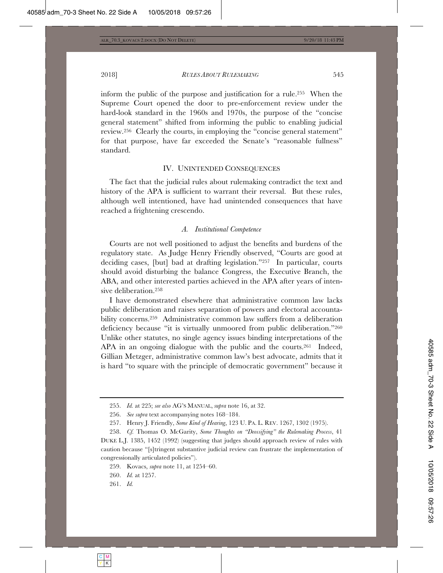2018] *RULES ABOUT RULEMAKING* 545

inform the public of the purpose and justification for a rule.255 When the Supreme Court opened the door to pre-enforcement review under the hard-look standard in the 1960s and 1970s, the purpose of the "concise general statement" shifted from informing the public to enabling judicial review.256 Clearly the courts, in employing the "concise general statement" for that purpose, have far exceeded the Senate's "reasonable fullness" standard.

#### IV. UNINTENDED CONSEQUENCES

The fact that the judicial rules about rulemaking contradict the text and history of the APA is sufficient to warrant their reversal. But these rules, although well intentioned, have had unintended consequences that have reached a frightening crescendo.

#### *A. Institutional Competence*

Courts are not well positioned to adjust the benefits and burdens of the regulatory state. As Judge Henry Friendly observed, "Courts are good at deciding cases, [but] bad at drafting legislation."257 In particular, courts should avoid disturbing the balance Congress, the Executive Branch, the ABA, and other interested parties achieved in the APA after years of intensive deliberation.258

I have demonstrated elsewhere that administrative common law lacks public deliberation and raises separation of powers and electoral accountability concerns.259 Administrative common law suffers from a deliberation deficiency because "it is virtually unmoored from public deliberation."260 Unlike other statutes, no single agency issues binding interpretations of the APA in an ongoing dialogue with the public and the courts.<sup>261</sup> Indeed, Gillian Metzger, administrative common law's best advocate, admits that it is hard "to square with the principle of democratic government" because it

<sup>255.</sup> *Id.* at 225; *see also* AG'S MANUAL, *supra* note 16, at 32.

<sup>256.</sup> *See supra* text accompanying notes 168–184.

<sup>257.</sup> Henry J. Friendly, *Some Kind of Hearing*, 123 U. PA. L. REV. 1267, 1302 (1975).

<sup>258.</sup> *Cf.* Thomas O. McGarity, *Some Thoughts on "Deossifying" the Rulemaking Process*, 41 DUKE L.J. 1385, 1452 (1992) (suggesting that judges should approach review of rules with caution because "[s]tringent substantive judicial review can frustrate the implementation of congressionally articulated policies").

<sup>259.</sup> Kovacs, *supra* note 11, at 1254–60.

<sup>260.</sup> *Id.* at 1257.

<sup>261.</sup> *Id.*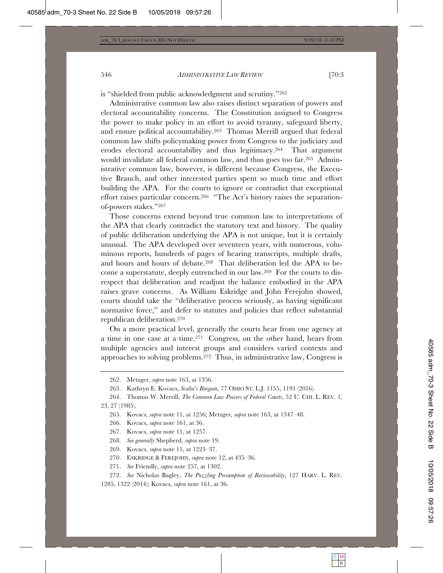# is "shielded from public acknowledgment and scrutiny."262

Administrative common law also raises distinct separation of powers and electoral accountability concerns. The Constitution assigned to Congress the power to make policy in an effort to avoid tyranny, safeguard liberty, and ensure political accountability.263 Thomas Merrill argued that federal common law shifts policymaking power from Congress to the judiciary and erodes electoral accountability and thus legitimacy.264 That argument would invalidate all federal common law, and thus goes too far.265 Administrative common law, however, is different because Congress, the Executive Branch, and other interested parties spent so much time and effort building the APA. For the courts to ignore or contradict that exceptional effort raises particular concern.266 "The Act's history raises the separationof-powers stakes."267

Those concerns extend beyond true common law to interpretations of the APA that clearly contradict the statutory text and history. The quality of public deliberation underlying the APA is not unique, but it is certainly unusual. The APA developed over seventeen years, with numerous, voluminous reports, hundreds of pages of hearing transcripts, multiple drafts, and hours and hours of debate.268 That deliberation led the APA to become a superstatute, deeply entrenched in our law.269 For the courts to disrespect that deliberation and readjust the balance embodied in the APA raises grave concerns. As William Eskridge and John Ferejohn showed, courts should take the "deliberative process seriously, as having significant normative force," and defer to statutes and policies that reflect substantial republican deliberation.270

On a more practical level, generally the courts hear from one agency at a time in one case at a time.271 Congress, on the other hand, hears from multiple agencies and interest groups and considers varied contexts and approaches to solving problems.272 Thus, in administrative law, Congress is

<sup>262.</sup> Metzger, *supra* note 163, at 1356.

<sup>263.</sup> Kathryn E. Kovacs, *Scalia's Bargain*, 77 OHIO ST. L.J. 1155, 1191 (2016).

<sup>264.</sup> Thomas W. Merrill, *The Common Law Powers of Federal Courts*, 52 U. CHI. L. REV. 1, 23, 27 (1985).

<sup>265.</sup> Kovacs, *supra* note 11, at 1256; Metzger, *supra* note 163, at 1347–48.

<sup>266.</sup> Kovacs, *supra* note 161, at 36.

<sup>267.</sup> Kovacs, *supra* note 11, at 1257.

<sup>268.</sup> *See generally* Shepherd, *supra* note 19.

<sup>269.</sup> Kovacs, *supra* note 11, at 1223–37.

<sup>270.</sup> ESKRIDGE & FEREJOHN, *supra* note 12, at 435–36.

<sup>271.</sup> *See* Friendly, *supra* note 257, at 1302.

<sup>272.</sup> *See* Nicholas Bagley, *The Puzzling Presumption of Reviewability*, 127 HARV. L. REV. 1285, 1322 (2014); Kovacs, *supra* note 161, at 36.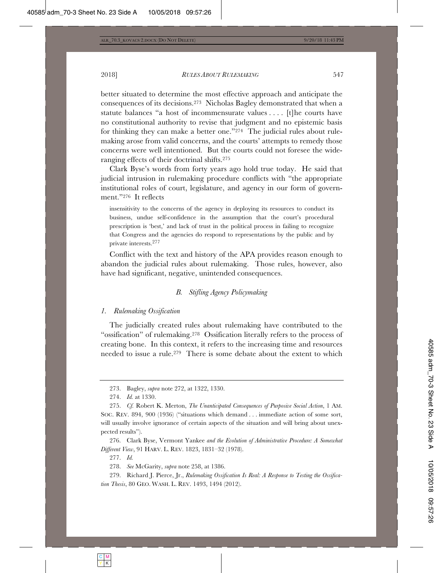better situated to determine the most effective approach and anticipate the consequences of its decisions.273 Nicholas Bagley demonstrated that when a statute balances "a host of incommensurate values . . . . [t]he courts have no constitutional authority to revise that judgment and no epistemic basis for thinking they can make a better one."274 The judicial rules about rulemaking arose from valid concerns, and the courts' attempts to remedy those concerns were well intentioned. But the courts could not foresee the wideranging effects of their doctrinal shifts.275

Clark Byse's words from forty years ago hold true today. He said that judicial intrusion in rulemaking procedure conflicts with "the appropriate institutional roles of court, legislature, and agency in our form of government."276 It reflects

insensitivity to the concerns of the agency in deploying its resources to conduct its business, undue self-confidence in the assumption that the court's procedural prescription is 'best,' and lack of trust in the political process in failing to recognize that Congress and the agencies do respond to representations by the public and by private interests.277

Conflict with the text and history of the APA provides reason enough to abandon the judicial rules about rulemaking. Those rules, however, also have had significant, negative, unintended consequences.

# *B. Stifling Agency Policymaking*

#### *1. Rulemaking Ossification*

The judicially created rules about rulemaking have contributed to the "ossification" of rulemaking.278 Ossification literally refers to the process of creating bone. In this context, it refers to the increasing time and resources needed to issue a rule.279 There is some debate about the extent to which

<sup>273.</sup> Bagley, *supra* note 272, at 1322, 1330.

<sup>274.</sup> *Id.* at 1330.

<sup>275.</sup> *Cf.* Robert K. Merton, *The Unanticipated Consequences of Purposive Social Action*, 1 AM. SOC. REV. 894, 900 (1936) ("situations which demand . . . immediate action of some sort, will usually involve ignorance of certain aspects of the situation and will bring about unexpected results").

<sup>276.</sup> Clark Byse, Vermont Yankee *and the Evolution of Administrative Procedure: A Somewhat Different View*, 91 HARV. L. REV. 1823, 1831–32 (1978).

<sup>277.</sup> *Id.*

<sup>278.</sup> *See* McGarity, *supra* note 258, at 1386.

<sup>279.</sup> Richard J. Pierce, Jr., *Rulemaking Ossification Is Real: A Response to Testing the Ossification Thesis*, 80 GEO. WASH. L. REV. 1493, 1494 (2012).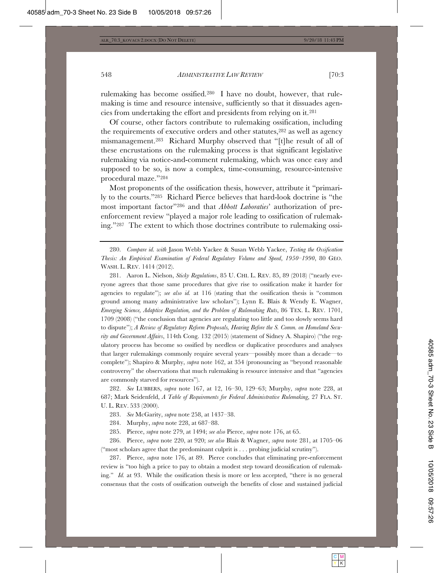rulemaking has become ossified.280 I have no doubt, however, that rulemaking is time and resource intensive, sufficiently so that it dissuades agencies from undertaking the effort and presidents from relying on it.281

Of course, other factors contribute to rulemaking ossification, including the requirements of executive orders and other statutes,282 as well as agency mismanagement.283 Richard Murphy observed that "[t]he result of all of these encrustations on the rulemaking process is that significant legislative rulemaking via notice-and-comment rulemaking, which was once easy and supposed to be so, is now a complex, time-consuming, resource-intensive procedural maze."284

Most proponents of the ossification thesis, however, attribute it "primarily to the courts."285 Richard Pierce believes that hard-look doctrine is "the most important factor"286 and that *Abbott Laboraties*' authorization of preenforcement review "played a major role leading to ossification of rulemaking."287 The extent to which those doctrines contribute to rulemaking ossi-

280. *Compare id. with* Jason Webb Yackee & Susan Webb Yackee, *Testing the Ossification Thesis: An Empirical Examination of Federal Regulatory Volume and Speed*, *1950–1990*, 80 GEO. WASH. L. REV. 1414 (2012).

281. Aaron L. Nielson, *Sticky Regulations*, 85 U. CHI. L. REV. 85, 89 (2018) ("nearly everyone agrees that those same procedures that give rise to ossification make it harder for agencies to regulate"); *see also id.* at 116 (stating that the ossification thesis is "common ground among many administrative law scholars"); Lynn E. Blais & Wendy E. Wagner, *Emerging Science, Adaptive Regulation, and the Problem of Rulemaking Ruts*, 86 TEX. L. REV. 1701, 1709 (2008) ("the conclusion that agencies are regulating too little and too slowly seems hard to dispute"); *A Review of Regulatory Reform Proposals, Hearing Before the S. Comm. on Homeland Security and Government Affairs*, 114th Cong. 132 (2015) (statement of Sidney A. Shapiro) ("the regulatory process has become so ossified by needless or duplicative procedures and analyses that larger rulemakings commonly require several years—possibly more than a decade—to complete"); Shapiro & Murphy, *supra* note 162, at 354 (pronouncing as "beyond reasonable controversy" the observations that much rulemaking is resource intensive and that "agencies are commonly starved for resources").

282. *See* LUBBERS, *supra* note 167, at 12, 16–30, 129–63; Murphy, *supra* note 228, at 687; Mark Seidenfeld, *A Table of Requirements for Federal Administrative Rulemaking*, 27 FLA. ST. U. L. REV. 533 (2000).

283. *See* McGarity, *supra* note 258, at 1437–38.

284. Murphy, *supra* note 228, at 687–88.

285. Pierce, *supra* note 279, at 1494; *see also* Pierce, *supra* note 176, at 65.

286. Pierce, *supra* note 220, at 920; *see also* Blais & Wagner, *supra* note 281, at 1705–06 ("most scholars agree that the predominant culprit is . . . probing judicial scrutiny").

287. Pierce, *supra* note 176, at 89. Pierce concludes that eliminating pre-enforcement review is "too high a price to pay to obtain a modest step toward deossification of rulemaking." *Id.* at 93. While the ossification thesis is more or less accepted, "there is no general consensus that the costs of ossification outweigh the benefits of close and sustained judicial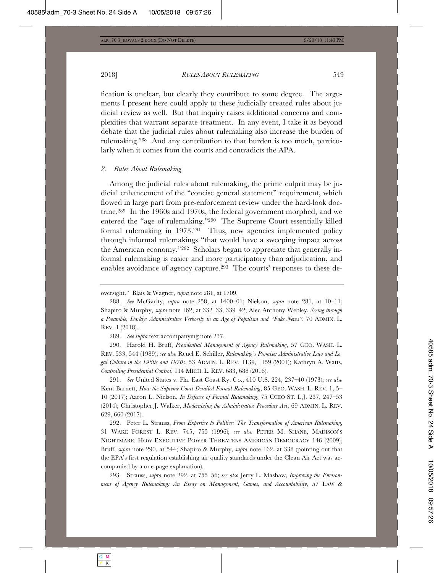fication is unclear, but clearly they contribute to some degree. The arguments I present here could apply to these judicially created rules about judicial review as well. But that inquiry raises additional concerns and complexities that warrant separate treatment. In any event, I take it as beyond debate that the judicial rules about rulemaking also increase the burden of rulemaking.288 And any contribution to that burden is too much, particularly when it comes from the courts and contradicts the APA.

#### *2. Rules About Rulemaking*

Among the judicial rules about rulemaking, the prime culprit may be judicial enhancement of the "concise general statement" requirement, which flowed in large part from pre-enforcement review under the hard-look doctrine.289 In the 1960s and 1970s, the federal government morphed, and we entered the "age of rulemaking."290 The Supreme Court essentially killed formal rulemaking in 1973.291 Thus, new agencies implemented policy through informal rulemakings "that would have a sweeping impact across the American economy."292 Scholars began to appreciate that generally informal rulemaking is easier and more participatory than adjudication, and enables avoidance of agency capture.293 The courts' responses to these de-

289. *See supra* text accompanying note 237.

290. Harold H. Bruff, *Presidential Management of Agency Rulemaking*, 57 GEO. WASH. L. REV. 533, 544 (1989); *see also* Reuel E. Schiller, *Rulemaking's Promise: Administrative Law and Legal Culture in the 1960s and 1970s*, 53 ADMIN. L. REV. 1139, 1159 (2001); Kathryn A. Watts, *Controlling Presidential Control*, 114 MICH. L. REV. 683, 688 (2016).

291. *See* United States v. Fla. East Coast Ry. Co., 410 U.S. 224, 237–40 (1973); *see also* Kent Barnett, *How the Supreme Court Derailed Formal Rulemaking*, 85 GEO. WASH. L. REV. 1, 5– 10 (2017); Aaron L. Nielson, *In Defense of Formal Rulemaking*, 75 OHIO ST. L.J. 237, 247–53 (2014); Christopher J. Walker, *Modernizing the Administrative Procedure Act*, 69 ADMIN. L. REV. 629, 660 (2017).

292. Peter L. Strauss, *From Expertise to Politics: The Transformation of American Rulemaking*, 31 WAKE FOREST L. REV. 745, 755 (1996); *see also* PETER M. SHANE, MADISON'S NIGHTMARE: HOW EXECUTIVE POWER THREATENS AMERICAN DEMOCRACY 146 (2009); Bruff, *supra* note 290, at 544; Shapiro & Murphy, *supra* note 162, at 338 (pointing out that the EPA's first regulation establishing air quality standards under the Clean Air Act was accompanied by a one-page explanation).

293. Strauss, *supra* note 292, at 755–56; *see also* Jerry L. Mashaw, *Improving the Environment of Agency Rulemaking: An Essay on Management, Games, and Accountability*, 57 LAW &

oversight." Blais & Wagner, *supra* note 281, at 1709.

<sup>288.</sup> *See* McGarity, *supra* note 258, at 1400–01; Nielson, *supra* note 281, at 10–11; Shapiro & Murphy, *supra* note 162, at 332–33, 339–42; Alec Anthony Webley, *Seeing through a Preamble, Darkly: Administrative Verbosity in an Age of Populism and "Fake News"*, 70 ADMIN. L. REV. 1 (2018).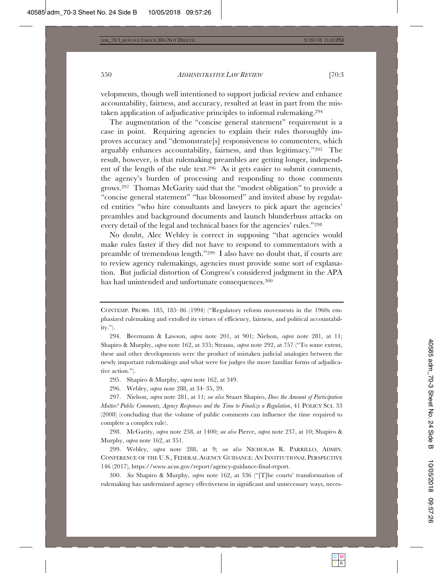velopments, though well intentioned to support judicial review and enhance accountability, fairness, and accuracy, resulted at least in part from the mistaken application of adjudicative principles to informal rulemaking.294

The augmentation of the "concise general statement" requirement is a case in point. Requiring agencies to explain their rules thoroughly improves accuracy and "demonstrate[s] responsiveness to commenters, which arguably enhances accountability, fairness, and thus legitimacy."295 The result, however, is that rulemaking preambles are getting longer, independent of the length of the rule text.296 As it gets easier to submit comments, the agency's burden of processing and responding to those comments grows.297 Thomas McGarity said that the "modest obligation" to provide a "concise general statement" "has blossomed" and invited abuse by regulated entities "who hire consultants and lawyers to pick apart the agencies' preambles and background documents and launch blunderbuss attacks on every detail of the legal and technical bases for the agencies' rules."298

No doubt, Alec Webley is correct in supposing "that agencies would make rules faster if they did not have to respond to commentators with a preamble of tremendous length."299 I also have no doubt that, if courts are to review agency rulemakings, agencies must provide some sort of explanation. But judicial distortion of Congress's considered judgment in the APA has had unintended and unfortunate consequences.300

CONTEMP. PROBS. 185, 185–86 (1994) ("Regulatory reform movements in the 1960s emphasized rulemaking and extolled its virtues of efficiency, fairness, and political accountability.").

<sup>294.</sup> Beermann & Lawson, *supra* note 201, at 901; Nielson, *supra* note 281, at 11; Shapiro & Murphy, *supra* note 162, at 335; Strauss, *supra* note 292, at 757 ("To some extent, these and other developments were the product of mistaken judicial analogies between the newly important rulemakings and what were for judges the more familiar forms of adjudicative action.").

<sup>295.</sup> Shapiro & Murphy, *supra* note 162, at 349.

<sup>296.</sup> Webley, *supra* note 288, at 34–35, 39.

<sup>297.</sup> Nielson, *supra* note 281, at 11; *see also* Stuart Shapiro, *Does the Amount of Participation Matter? Public Comments, Agency Responses and the Time to Finalize a Regulation*, 41 POLICY SCI. 33 (2008) (concluding that the volume of public comments can influence the time required to complete a complex rule).

<sup>298.</sup> McGarity, *supra* note 258, at 1400; *see also* Pierce, *supra* note 237, at 10; Shapiro & Murphy, *supra* note 162, at 351.

<sup>299.</sup> Webley, *supra* note 288, at 9; *see also* NICHOLAS R. PARRILLO, ADMIN. CONFERENCE OF THE U.S., FEDERAL AGENCY GUIDANCE: AN INSTITUTIONAL PERSPECTIVE 146 (2017), https://www.acus.gov/report/agency-guidance-final-report.

<sup>300.</sup> *See* Shapiro & Murphy, *supra* note 162, at 336 ("[T]he courts' transformation of rulemaking has undermined agency effectiveness in significant and unnecessary ways, neces-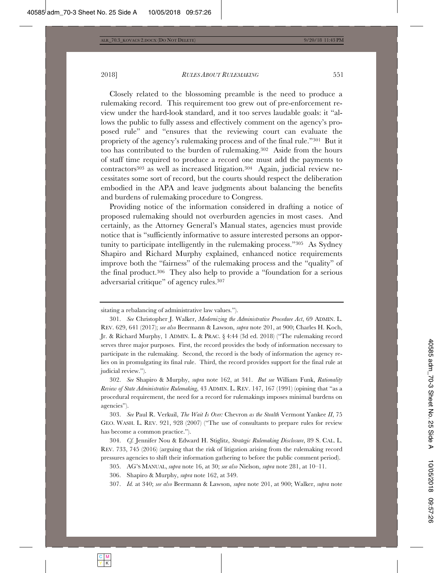Closely related to the blossoming preamble is the need to produce a rulemaking record. This requirement too grew out of pre-enforcement review under the hard-look standard, and it too serves laudable goals: it "allows the public to fully assess and effectively comment on the agency's proposed rule" and "ensures that the reviewing court can evaluate the propriety of the agency's rulemaking process and of the final rule."301 But it too has contributed to the burden of rulemaking.302 Aside from the hours of staff time required to produce a record one must add the payments to contractors303 as well as increased litigation.304 Again, judicial review necessitates some sort of record, but the courts should respect the deliberation embodied in the APA and leave judgments about balancing the benefits and burdens of rulemaking procedure to Congress.

Providing notice of the information considered in drafting a notice of proposed rulemaking should not overburden agencies in most cases. And certainly, as the Attorney General's Manual states, agencies must provide notice that is "sufficiently informative to assure interested persons an opportunity to participate intelligently in the rulemaking process."305 As Sydney Shapiro and Richard Murphy explained, enhanced notice requirements improve both the "fairness" of the rulemaking process and the "quality" of the final product.306 They also help to provide a "foundation for a serious adversarial critique" of agency rules.307

302. *See* Shapiro & Murphy, *supra* note 162, at 341. *But see* William Funk, *Rationality Review of State Administrative Rulemaking*, 43 ADMIN. L. REV. 147, 167 (1991) (opining that "as a procedural requirement, the need for a record for rulemakings imposes minimal burdens on agencies").

303. *See* Paul R. Verkuil, *The Wait Is Over:* Chevron *as the Stealth* Vermont Yankee *II*, 75 GEO. WASH. L. REV. 921, 928 (2007) ("The use of consultants to prepare rules for review has become a common practice.").

304. *Cf.* Jennifer Nou & Edward H. Stiglitz, *Strategic Rulemaking Disclosure*, 89 S. CAL. L. REV. 733, 745 (2016) (arguing that the risk of litigation arising from the rulemaking record pressures agencies to shift their information gathering to before the public comment period).

305. AG'S MANUAL, *supra* note 16, at 30; *see also* Nielson, *supra* note 281, at 10–11.

306. Shapiro & Murphy, *supra* note 162, at 349.

307. *Id.* at 340; *see also* Beermann & Lawson, *supra* note 201, at 900; Walker, *supra* note

sitating a rebalancing of administrative law values.").

<sup>301.</sup> *See* Christopher J. Walker, *Modernizing the Administrative Procedure Act*, 69 ADMIN. L. REV. 629, 641 (2017); *see also* Beermann & Lawson, *supra* note 201, at 900; Charles H. Koch, Jr. & Richard Murphy, 1 ADMIN. L. & PRAC. § 4:44 (3d ed. 2018) ("The rulemaking record serves three major purposes. First, the record provides the body of information necessary to participate in the rulemaking. Second, the record is the body of information the agency relies on in promulgating its final rule. Third, the record provides support for the final rule at judicial review.").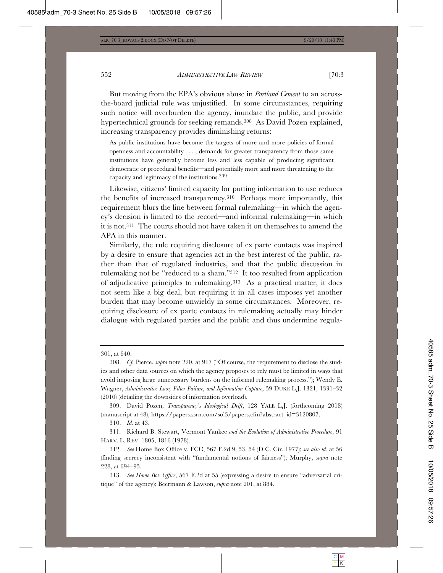But moving from the EPA's obvious abuse in *Portland Cement* to an acrossthe-board judicial rule was unjustified. In some circumstances, requiring such notice will overburden the agency, inundate the public, and provide hypertechnical grounds for seeking remands.<sup>308</sup> As David Pozen explained, increasing transparency provides diminishing returns:

As public institutions have become the targets of more and more policies of formal openness and accountability . . . , demands for greater transparency from those same institutions have generally become less and less capable of producing significant democratic or procedural benefits—and potentially more and more threatening to the capacity and legitimacy of the institutions.309

Likewise, citizens' limited capacity for putting information to use reduces the benefits of increased transparency.310 Perhaps more importantly, this requirement blurs the line between formal rulemaking—in which the agency's decision is limited to the record—and informal rulemaking—in which it is not.311 The courts should not have taken it on themselves to amend the APA in this manner.

Similarly, the rule requiring disclosure of ex parte contacts was inspired by a desire to ensure that agencies act in the best interest of the public, rather than that of regulated industries, and that the public discussion in rulemaking not be "reduced to a sham."312 It too resulted from application of adjudicative principles to rulemaking.313 As a practical matter, it does not seem like a big deal, but requiring it in all cases imposes yet another burden that may become unwieldy in some circumstances. Moreover, requiring disclosure of ex parte contacts in rulemaking actually may hinder dialogue with regulated parties and the public and thus undermine regula-

<sup>301,</sup> at 640.

<sup>308.</sup> *Cf.* Pierce, *supra* note 220, at 917 ("Of course, the requirement to disclose the studies and other data sources on which the agency proposes to rely must be limited in ways that avoid imposing large unnecessary burdens on the informal rulemaking process."); Wendy E. Wagner, *Administrative Law, Filter Failure, and Information Capture*, 59 DUKE L.J. 1321, 1331–32 (2010) (detailing the downsides of information overload).

<sup>309.</sup> David Pozen, *Transparency's Ideological Drift*, 128 YALE L.J. (forthcoming 2018) (manuscript at 48), https://papers.ssrn.com/sol3/papers.cfm?abstract\_id=3120807.

<sup>310.</sup> *Id.* at 43.

<sup>311.</sup> Richard B. Stewart, Vermont Yankee *and the Evolution of Administrative Procedure*, 91 HARV. L. REV. 1805, 1816 (1978).

<sup>312.</sup> *See* Home Box Office v. FCC, 567 F.2d 9, 53, 54 (D.C. Cir. 1977); *see also id.* at 56 (finding secrecy inconsistent with "fundamental notions of fairness"); Murphy, *supra* note 228, at 694–95.

<sup>313.</sup> *See Home Box Office*, 567 F.2d at 55 (expressing a desire to ensure "adversarial critique" of the agency); Beermann & Lawson, *supra* note 201, at 884.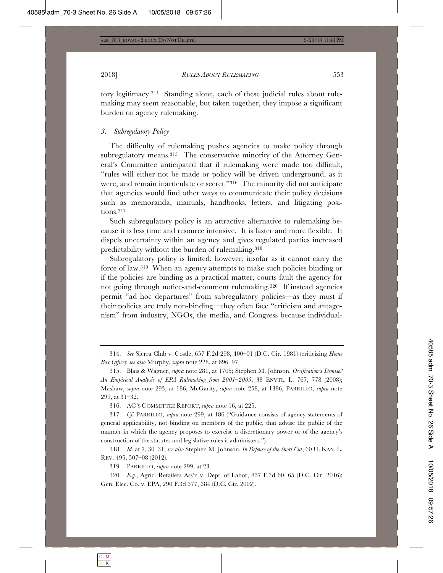tory legitimacy.314 Standing alone, each of these judicial rules about rulemaking may seem reasonable, but taken together, they impose a significant burden on agency rulemaking.

## *3. Subregulatory Policy*

The difficulty of rulemaking pushes agencies to make policy through subregulatory means.315 The conservative minority of the Attorney General's Committee anticipated that if rulemaking were made too difficult, "rules will either not be made or policy will be driven underground, as it were, and remain inarticulate or secret."316 The minority did not anticipate that agencies would find other ways to communicate their policy decisions such as memoranda, manuals, handbooks, letters, and litigating positions.317

Such subregulatory policy is an attractive alternative to rulemaking because it is less time and resource intensive. It is faster and more flexible. It dispels uncertainty within an agency and gives regulated parties increased predictability without the burden of rulemaking.318

Subregulatory policy is limited, however, insofar as it cannot carry the force of law.319 When an agency attempts to make such policies binding or if the policies are binding as a practical matter, courts fault the agency for not going through notice-and-comment rulemaking.320 If instead agencies permit "ad hoc departures" from subregulatory policies—as they must if their policies are truly non-binding—they often face "criticism and antagonism" from industry, NGOs, the media, and Congress because individual-

314. *See* Sierra Club v. Costle, 657 F.2d 298, 400–01 (D.C. Cir. 1981) (criticizing *Home Box Office*); *see also* Murphy, *supra* note 228, at 696–97.

315. Blais & Wagner, *supra* note 281, at 1705; Stephen M. Johnson, *Ossification's Demise? An Empirical Analysis of EPA Rulemaking from 2001–2005*, 38 ENVTL. L. 767, 778 (2008); Mashaw, *supra* note 293, at 186; McGarity, *supra* note 258, at 1386; PARRILLO, *supra* note 299, at 31–32.

316. AG'S COMMITTEE REPORT, *supra* note 16, at 225.

317. *Cf.* PARRILLO, *supra* note 299, at 186 ("Guidance consists of agency statements of general applicability, not binding on members of the public, that advise the public of the manner in which the agency proposes to exercise a discretionary power or of the agency's construction of the statutes and legislative rules it administers.").

318. *Id.* at 7, 30–31; *see also* Stephen M. Johnson, *In Defense of the Short Cut*, 60 U. KAN. L. REV. 495, 507–08 (2012).

319. PARRILLO, *supra* note 299, at 23.

320. *E.g.*, Agric. Retailers Ass'n v. Dept. of Labor, 837 F.3d 60, 65 (D.C. Cir. 2016); Gen. Elec. Co. v. EPA, 290 F.3d 377, 384 (D.C. Cir. 2002).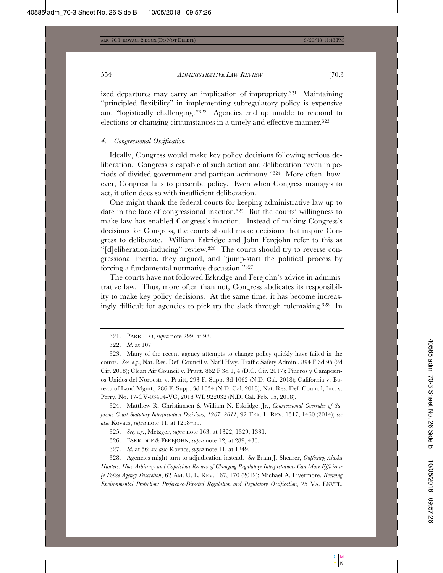ized departures may carry an implication of impropriety.321 Maintaining "principled flexibility" in implementing subregulatory policy is expensive and "logistically challenging."322 Agencies end up unable to respond to elections or changing circumstances in a timely and effective manner.323

#### *4. Congressional Ossification*

Ideally, Congress would make key policy decisions following serious deliberation. Congress is capable of such action and deliberation "even in periods of divided government and partisan acrimony."324 More often, however, Congress fails to prescribe policy. Even when Congress manages to act, it often does so with insufficient deliberation.

One might thank the federal courts for keeping administrative law up to date in the face of congressional inaction.325 But the courts' willingness to make law has enabled Congress's inaction. Instead of making Congress's decisions for Congress, the courts should make decisions that inspire Congress to deliberate. William Eskridge and John Ferejohn refer to this as "[d]eliberation-inducing" review.326 The courts should try to reverse congressional inertia, they argued, and "jump-start the political process by forcing a fundamental normative discussion."327

The courts have not followed Eskridge and Ferejohn's advice in administrative law. Thus, more often than not, Congress abdicates its responsibility to make key policy decisions. At the same time, it has become increasingly difficult for agencies to pick up the slack through rulemaking.328 In

324. Matthew R. Christiansen & William N. Eskridge, Jr., *Congressional Overrides of Supreme Court Statutory Interpretation Decisions, 1967–2011*, 92 TEX. L. REV. 1317, 1460 (2014); *see also* Kovacs, *supra* note 11, at 1258–59.

325. *See, e.g.*, Metzger, *supra* note 163, at 1322, 1329, 1331.

326. ESKRIDGE & FEREJOHN, *supra* note 12, at 289, 436.

327. *Id.* at 56; *see also* Kovacs, *supra* note 11, at 1249.

328. Agencies might turn to adjudication instead. *See* Brian J. Shearer, *Outfoxing Alaska Hunters: How Arbitrary and Capricious Review of Changing Regulatory Interpretations Can More Efficiently Police Agency Discretion*, 62 AM. U. L. REV. 167, 170 (2012); Michael A. Livermore, *Reviving Environmental Protection: Preference-Directed Regulation and Regulatory Ossification*, 25 VA. ENVTL.

<sup>321.</sup> PARRILLO, *supra* note 299, at 98.

<sup>322.</sup> *Id.* at 107.

<sup>323.</sup> Many of the recent agency attempts to change policy quickly have failed in the courts. *See, e.g.*, Nat. Res. Def. Council v. Nat'l Hwy. Traffic Safety Admin., 894 F.3d 95 (2d Cir. 2018); Clean Air Council v. Pruitt, 862 F.3d 1, 4 (D.C. Cir. 2017); Pineros y Campesinos Unidos del Noroeste v. Pruitt, 293 F. Supp. 3d 1062 (N.D. Cal. 2018); California v. Bureau of Land Mgmt., 286 F. Supp. 3d 1054 (N.D. Cal. 2018); Nat. Res. Def. Council, Inc. v. Perry, No. 17-CV-03404-VC, 2018 WL 922032 (N.D. Cal. Feb. 15, 2018).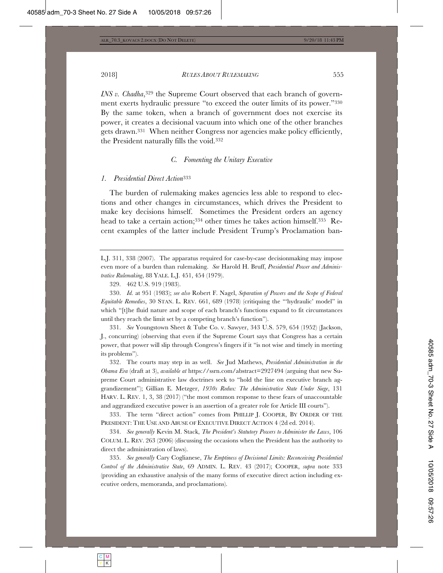2018] *RULES ABOUT RULEMAKING* 555

*INS v. Chadha*,<sup>329</sup> the Supreme Court observed that each branch of government exerts hydraulic pressure "to exceed the outer limits of its power."330 By the same token, when a branch of government does not exercise its power, it creates a decisional vacuum into which one of the other branches gets drawn.331 When neither Congress nor agencies make policy efficiently, the President naturally fills the void.332

#### *C. Fomenting the Unitary Executive*

#### *1. Presidential Direct Action*<sup>333</sup>

The burden of rulemaking makes agencies less able to respond to elections and other changes in circumstances, which drives the President to make key decisions himself. Sometimes the President orders an agency head to take a certain action;<sup>334</sup> other times he takes action himself.<sup>335</sup> Recent examples of the latter include President Trump's Proclamation ban-

L.J. 311, 338 (2007). The apparatus required for case-by-case decisionmaking may impose even more of a burden than rulemaking. *See* Harold H. Bruff, *Presidential Power and Administrative Rulemaking*, 88 YALE. L.J. 451, 454 (1979).

330. *Id.* at 951 (1983); *see also* Robert F. Nagel, *Separation of Powers and the Scope of Federal Equitable Remedies*, 30 STAN. L. REV. 661, 689 (1978) (critiquing the "'hydraulic' model" in which "[t]he fluid nature and scope of each branch's functions expand to fit circumstances until they reach the limit set by a competing branch's function").

331. *See* Youngstown Sheet & Tube Co. v. Sawyer, 343 U.S. 579, 654 (1952) (Jackson, J., concurring) (observing that even if the Supreme Court says that Congress has a certain power, that power will slip through Congress's fingers if it "is not wise and timely in meeting its problems").

332. The courts may step in as well. *See* Jud Mathews, *Presidential Administration in the Obama Era* (draft at 3), *available at* https://ssrn.com/abstract=2927494 (arguing that new Supreme Court administrative law doctrines seek to "hold the line on executive branch aggrandizement"); Gillian E. Metzger, *1930s Redux: The Administrative State Under Siege*, 131 HARV. L. REV. 1, 3, 38 (2017) ("the most common response to these fears of unaccountable and aggrandized executive power is an assertion of a greater role for Article III courts").

333. The term "direct action" comes from PHILLIP J. COOPER, BY ORDER OF THE PRESIDENT: THE USE AND ABUSE OF EXECUTIVE DIRECT ACTION 4 (2d ed. 2014).

334. *See generally* Kevin M. Stack, *The President's Statutory Powers to Administer the Laws*, 106 COLUM. L. REV. 263 (2006) (discussing the occasions when the President has the authority to direct the administration of laws).

335. *See generally* Cary Coglianese, *The Emptiness of Decisional Limits: Reconceiving Presidential Control of the Administrative State*, 69 ADMIN. L. REV. 43 (2017); COOPER, *supra* note 333 (providing an exhaustive analysis of the many forms of executive direct action including executive orders, memoranda, and proclamations).

<sup>329. 462</sup> U.S. 919 (1983).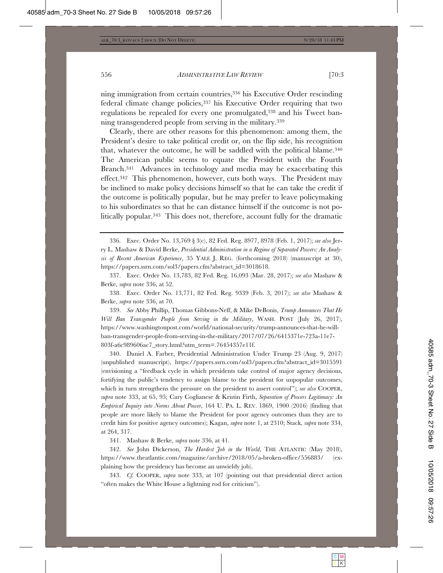ning immigration from certain countries,336 his Executive Order rescinding federal climate change policies,<sup>337</sup> his Executive Order requiring that two regulations be repealed for every one promulgated,338 and his Tweet banning transgendered people from serving in the military.339

Clearly, there are other reasons for this phenomenon: among them, the President's desire to take political credit or, on the flip side, his recognition that, whatever the outcome, he will be saddled with the political blame.340 The American public seems to equate the President with the Fourth Branch.341 Advances in technology and media may be exacerbating this effect.342 This phenomenon, however, cuts both ways. The President may be inclined to make policy decisions himself so that he can take the credit if the outcome is politically popular, but he may prefer to leave policymaking to his subordinates so that he can distance himself if the outcome is not politically popular.343 This does not, therefore, account fully for the dramatic

338. Exec. Order No. 13,771, 82 Fed. Reg. 9339 (Feb. 3, 2017); *see also* Mashaw & Berke, *supra* note 336, at 70.

339. *See* Abby Phillip, Thomas Gibbons-Neff, & Mike DeBonis, *Trump Announces That He Will Ban Transgender People from Serving in the Military*, WASH. POST (July 26, 2017), https://www.washingtonpost.com/world/national-security/trump-announces-that-he-willban-transgender-people-from-serving-in-the-military/2017/07/26/6415371e-723a-11e7- 803f-a6c989606ac7\_story.html?utm\_term=.76454357e11f.

340. Daniel A. Farber, Presidential Administration Under Trump 23 (Aug. 9, 2017) (unpublished manuscript), https://papers.ssrn.com/sol3/papers.cfm?abstract\_id=3015591 (envisioning a "feedback cycle in which presidents take control of major agency decisions, fortifying the public's tendency to assign blame to the president for unpopular outcomes, which in turn strengthens the pressure on the president to assert control"); *see also* COOPER, *supra* note 333, at 65, 95; Cary Coglianese & Kristin Firth, *Separation of Powers Legitimacy: An Empirical Inquiry into Norms About Power*, 164 U. PA. L. REV. 1869, 1900 (2016) (finding that people are more likely to blame the President for poor agency outcomes than they are to credit him for positive agency outcomes); Kagan, *supra* note 1, at 2310; Stack, *supra* note 334, at 264, 317.

341. Mashaw & Berke, *supra* note 336, at 41.

342. *See* John Dickerson, *The Hardest Job in the World*, THE ATLANTIC (May 2018), https://www.theatlantic.com/magazine/archive/2018/05/a-broken-office/556883/ (explaining how the presidency has become an unwieldy job).

343. *Cf.* COOPER, *supra* note 333, at 107 (pointing out that presidential direct action "often makes the White House a lightning rod for criticism").

<sup>336.</sup> Exec. Order No. 13,769 § 3(c), 82 Fed. Reg. 8977, 8978 (Feb. 1, 2017); *see also* Jerry L. Mashaw & David Berke, *Presidential Administration in a Regime of Separated Powers: An Analysis of Recent American Experience*, 35 YALE J. REG. (forthcoming 2018) (manuscript at 30), https://papers.ssrn.com/sol3/papers.cfm?abstract\_id=3018618.

<sup>337.</sup> Exec. Order No. 13,783, 82 Fed. Reg. 16,093 (Mar. 28, 2017); *see also* Mashaw & Berke, *supra* note 336, at 52.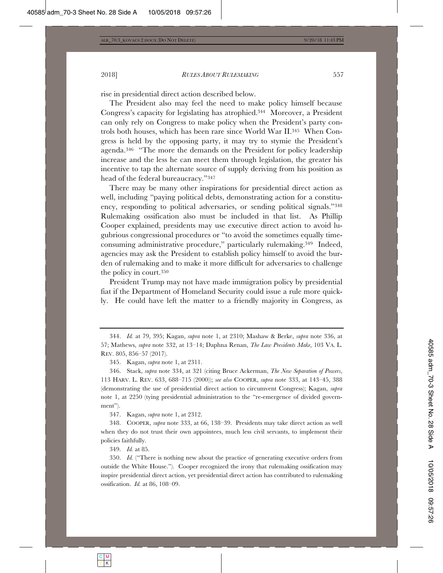rise in presidential direct action described below.

The President also may feel the need to make policy himself because Congress's capacity for legislating has atrophied.344 Moreover, a President can only rely on Congress to make policy when the President's party controls both houses, which has been rare since World War II.345 When Congress is held by the opposing party, it may try to stymie the President's agenda.346 "The more the demands on the President for policy leadership increase and the less he can meet them through legislation, the greater his incentive to tap the alternate source of supply deriving from his position as head of the federal bureaucracy."347

There may be many other inspirations for presidential direct action as well, including "paying political debts, demonstrating action for a constituency, responding to political adversaries, or sending political signals."348 Rulemaking ossification also must be included in that list. As Phillip Cooper explained, presidents may use executive direct action to avoid lugubrious congressional procedures or "to avoid the sometimes equally timeconsuming administrative procedure," particularly rulemaking.349 Indeed, agencies may ask the President to establish policy himself to avoid the burden of rulemaking and to make it more difficult for adversaries to challenge the policy in court.350

President Trump may not have made immigration policy by presidential fiat if the Department of Homeland Security could issue a rule more quickly. He could have left the matter to a friendly majority in Congress, as

347. Kagan, *supra* note 1, at 2312.

348. COOPER, *supra* note 333, at 66, 138–39. Presidents may take direct action as well when they do not trust their own appointees, much less civil servants, to implement their policies faithfully.

349. *Id.* at 85.

350. *Id.* ("There is nothing new about the practice of generating executive orders from outside the White House."). Cooper recognized the irony that rulemaking ossification may inspire presidential direct action, yet presidential direct action has contributed to rulemaking ossification. *Id.* at 86, 108–09.

<sup>344.</sup> *Id.* at 79, 395; Kagan, *supra* note 1, at 2310; Mashaw & Berke, *supra* note 336, at 57; Mathews, *supra* note 332, at 13–14; Daphna Renan, *The Law Presidents Make*, 103 VA. L. REV. 805, 856–57 (2017).

<sup>345.</sup> Kagan, *supra* note 1, at 2311.

<sup>346.</sup> Stack, *supra* note 334, at 321 (citing Bruce Ackerman, *The New Separation of Powers*, 113 HARV. L. REV. 633, 688–715 (2000)); *see also* COOPER, *supra* note 333, at 143–45, 388 (demonstrating the use of presidential direct action to circumvent Congress); Kagan, *supra* note 1, at 2250 (tying presidential administration to the "re-emergence of divided government").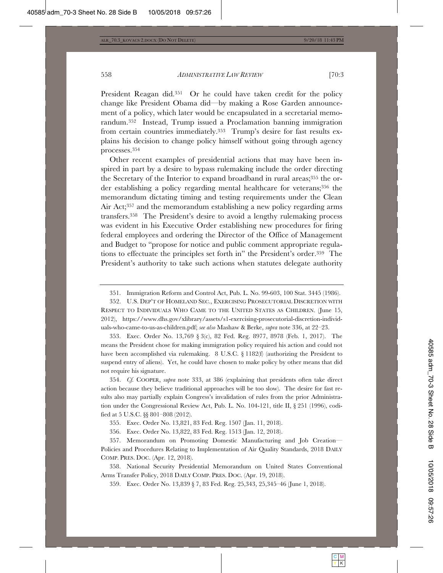President Reagan did.<sup>351</sup> Or he could have taken credit for the policy change like President Obama did—by making a Rose Garden announcement of a policy, which later would be encapsulated in a secretarial memorandum.352 Instead, Trump issued a Proclamation banning immigration from certain countries immediately.353 Trump's desire for fast results explains his decision to change policy himself without going through agency processes.354

Other recent examples of presidential actions that may have been inspired in part by a desire to bypass rulemaking include the order directing the Secretary of the Interior to expand broadband in rural areas;<sup>355</sup> the order establishing a policy regarding mental healthcare for veterans;356 the memorandum dictating timing and testing requirements under the Clean Air Act;357 and the memorandum establishing a new policy regarding arms transfers.358 The President's desire to avoid a lengthy rulemaking process was evident in his Executive Order establishing new procedures for firing federal employees and ordering the Director of the Office of Management and Budget to "propose for notice and public comment appropriate regulations to effectuate the principles set forth in" the President's order.359 The President's authority to take such actions when statutes delegate authority

353. Exec. Order No. 13,769 § 3(c), 82 Fed. Reg. 8977, 8978 (Feb. 1, 2017). The means the President chose for making immigration policy required his action and could not have been accomplished via rulemaking. 8 U.S.C. § 1182(f) (authorizing the President to suspend entry of aliens). Yet, he could have chosen to make policy by other means that did not require his signature.

354. *Cf.* COOPER, *supra* note 333, at 386 (explaining that presidents often take direct action because they believe traditional approaches will be too slow). The desire for fast results also may partially explain Congress's invalidation of rules from the prior Administration under the Congressional Review Act, Pub. L. No. 104-121, title II, § 251 (1996), codified at 5 U.S.C. §§ 801–808 (2012).

356. Exec. Order No. 13,822, 83 Fed. Reg. 1513 (Jan. 12, 2018).

357. Memorandum on Promoting Domestic Manufacturing and Job Creation— Policies and Procedures Relating to Implementation of Air Quality Standards, 2018 DAILY COMP. PRES. DOC. (Apr. 12, 2018).

358. National Security Presidential Memorandum on United States Conventional Arms Transfer Policy, 2018 DAILY COMP. PRES. DOC. (Apr. 19, 2018).

359. Exec. Order No. 13,839 § 7, 83 Fed. Reg. 25,343, 25,345–46 (June 1, 2018).

<sup>351.</sup> Immigration Reform and Control Act, Pub. L. No. 99-603, 100 Stat. 3445 (1986).

<sup>352.</sup> U.S. DEP'T OF HOMELAND SEC., EXERCISING PROSECUTORIAL DISCRETION WITH RESPECT TO INDIVIDUALS WHO CAME TO THE UNITED STATES AS CHILDREN. (June 15, 2012), https://www.dhs.gov/xlibrary/assets/s1-exercising-prosecutorial-discretion-individuals-who-came-to-us-as-children.pdf; *see also* Mashaw & Berke, *supra* note 336, at 22–23.

<sup>355.</sup> Exec. Order No. 13,821, 83 Fed. Reg. 1507 (Jan. 11, 2018).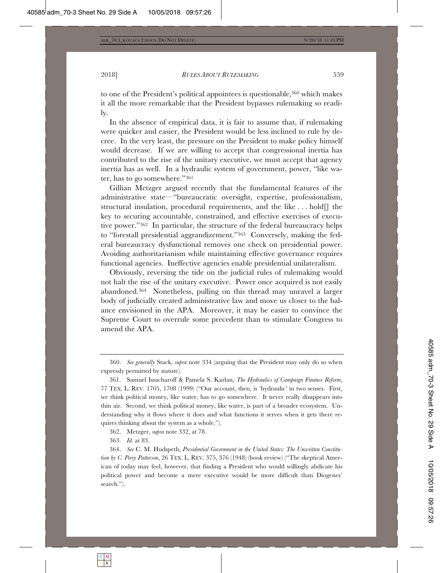to one of the President's political appointees is questionable,360 which makes it all the more remarkable that the President bypasses rulemaking so readily.

In the absence of empirical data, it is fair to assume that, if rulemaking were quicker and easier, the President would be less inclined to rule by decree. In the very least, the pressure on the President to make policy himself would decrease. If we are willing to accept that congressional inertia has contributed to the rise of the unitary executive, we must accept that agency inertia has as well. In a hydraulic system of government, power, "like water, has to go somewhere."361

Gillian Metzger argued recently that the fundamental features of the administrative state—"bureaucratic oversight, expertise, professionalism, structural insulation, procedural requirements, and the like . . . hold[] the key to securing accountable, constrained, and effective exercises of executive power."362 In particular, the structure of the federal bureaucracy helps to "forestall presidential aggrandizement."363 Conversely, making the federal bureaucracy dysfunctional removes one check on presidential power. Avoiding authoritarianism while maintaining effective governance requires functional agencies. Ineffective agencies enable presidential unilateralism.

Obviously, reversing the tide on the judicial rules of rulemaking would not halt the rise of the unitary executive. Power once acquired is not easily abandoned.364 Nonetheless, pulling on this thread may unravel a larger body of judicially created administrative law and move us closer to the balance envisioned in the APA. Moreover, it may be easier to convince the Supreme Court to overrule some precedent than to stimulate Congress to amend the APA.

362. Metzger, *supra* note 332, at 78.

363. *Id.* at 83.

<sup>360.</sup> *See generally* Stack, *supra* note 334 (arguing that the President may only do so when expressly permitted by statute).

<sup>361.</sup> Samuel Issacharoff & Pamela S. Karlan, *The Hydraulics of Campaign Finance Reform*, 77 TEX. L. REV. 1705, 1708 (1999) ("Our account, then, is 'hydraulic' in two senses. First, we think political money, like water, has to go somewhere. It never really disappears into thin air. Second, we think political money, like water, is part of a broader ecosystem. Understanding why it flows where it does and what functions it serves when it gets there requires thinking about the system as a whole.").

<sup>364.</sup> *See* C. M. Hudspeth, *Presidential Government in the United States: The Unwritten Constitution by C. Perry Patterson*, 26 TEX. L. REV. 375, 376 (1948) (book review) ("The skeptical American of today may feel, however, that finding a President who would willingly abdicate his political power and become a mere executive would be more difficult than Diogenes' search.").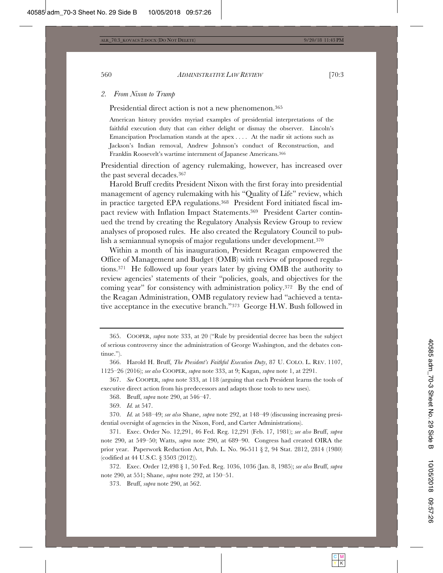#### *2. From Nixon to Trump*

Presidential direct action is not a new phenomenon.365

American history provides myriad examples of presidential interpretations of the faithful execution duty that can either delight or dismay the observer. Lincoln's Emancipation Proclamation stands at the apex . . . . At the nadir sit actions such as Jackson's Indian removal, Andrew Johnson's conduct of Reconstruction, and Franklin Roosevelt's wartime internment of Japanese Americans.366

Presidential direction of agency rulemaking, however, has increased over the past several decades.367

Harold Bruff credits President Nixon with the first foray into presidential management of agency rulemaking with his "Quality of Life" review, which in practice targeted EPA regulations.368 President Ford initiated fiscal impact review with Inflation Impact Statements.369 President Carter continued the trend by creating the Regulatory Analysis Review Group to review analyses of proposed rules. He also created the Regulatory Council to publish a semiannual synopsis of major regulations under development.<sup>370</sup>

Within a month of his inauguration, President Reagan empowered the Office of Management and Budget (OMB) with review of proposed regulations.371 He followed up four years later by giving OMB the authority to review agencies' statements of their "policies, goals, and objectives for the coming year" for consistency with administration policy.372 By the end of the Reagan Administration, OMB regulatory review had "achieved a tentative acceptance in the executive branch."373 George H.W. Bush followed in

367. *See* COOPER, *supra* note 333, at 118 (arguing that each President learns the tools of executive direct action from his predecessors and adapts those tools to new uses).

368. Bruff, *supra* note 290, at 546–47.

371. Exec. Order No. 12,291, 46 Fed. Reg. 12,291 (Feb. 17, 1981); *see also* Bruff, *supra* note 290, at 549–50; Watts, *supra* note 290, at 689–90. Congress had created OIRA the prior year. Paperwork Reduction Act, Pub. L. No. 96-511 § 2, 94 Stat. 2812, 2814 (1980) (codified at 44 U.S.C. § 3503 (2012)).

372. Exec. Order 12,498 § 1, 50 Fed. Reg. 1036, 1036 (Jan. 8, 1985); *see also* Bruff, *supra* note 290, at 551; Shane, *supra* note 292, at 150–51.

373. Bruff, *supra* note 290, at 562.

<sup>365.</sup> COOPER, *supra* note 333, at 20 ("Rule by presidential decree has been the subject of serious controversy since the administration of George Washington, and the debates continue.").

<sup>366.</sup> Harold H. Bruff, *The President's Faithful Execution Duty*, 87 U. COLO. L. REV. 1107, 1125–26 (2016); *see also* COOPER, *supra* note 333, at 9; Kagan, *supra* note 1, at 2291.

<sup>369.</sup> *Id.* at 547.

<sup>370.</sup> *Id.* at 548–49; *see also* Shane, *supra* note 292, at 148–49 (discussing increasing presidential oversight of agencies in the Nixon, Ford, and Carter Administrations).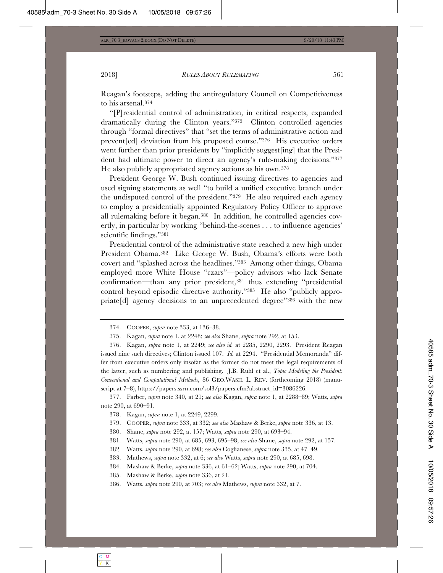Reagan's footsteps, adding the antiregulatory Council on Competitiveness to his arsenal.374

"[P]residential control of administration, in critical respects, expanded dramatically during the Clinton years."375 Clinton controlled agencies through "formal directives" that "set the terms of administrative action and prevent[ed] deviation from his proposed course."376 His executive orders went further than prior presidents by "implicitly suggest[ing] that the President had ultimate power to direct an agency's rule-making decisions."377 He also publicly appropriated agency actions as his own.378

President George W. Bush continued issuing directives to agencies and used signing statements as well "to build a unified executive branch under the undisputed control of the president."379 He also required each agency to employ a presidentially appointed Regulatory Policy Officer to approve all rulemaking before it began.380 In addition, he controlled agencies covertly, in particular by working "behind-the-scenes . . . to influence agencies' scientific findings."381

Presidential control of the administrative state reached a new high under President Obama.382 Like George W. Bush, Obama's efforts were both covert and "splashed across the headlines."383 Among other things, Obama employed more White House "czars"—policy advisors who lack Senate confirmation—than any prior president,384 thus extending "presidential control beyond episodic directive authority."385 He also "publicly appropriate[d] agency decisions to an unprecedented degree"386 with the new

377. Farber, *supra* note 340, at 21; *see also* Kagan, *supra* note 1, at 2288–89; Watts, *supra* note 290, at 690–91.

<sup>374.</sup> COOPER, *supra* note 333, at 136–38.

<sup>375.</sup> Kagan, *supra* note 1, at 2248; *see also* Shane, *supra* note 292, at 153.

<sup>376.</sup> Kagan, *supra* note 1, at 2249; *see also id.* at 2285, 2290, 2293. President Reagan issued nine such directives; Clinton issued 107. *Id.* at 2294. "Presidential Memoranda" differ from executive orders only insofar as the former do not meet the legal requirements of the latter, such as numbering and publishing. J.B. Ruhl et al., *Topic Modeling the President: Conventional and Computational Methods*, 86 GEO.WASH. L. REV. (forthcoming 2018) (manuscript at 7–8), https://papers.ssrn.com/sol3/papers.cfm?abstract\_id=3086226.

<sup>378.</sup> Kagan, *supra* note 1, at 2249, 2299.

<sup>379.</sup> COOPER, *supra* note 333, at 332; *see also* Mashaw & Berke, *supra* note 336, at 13.

<sup>380.</sup> Shane, *supra* note 292, at 157; Watts, *supra* note 290, at 693–94.

<sup>381.</sup> Watts, *supra* note 290, at 685, 693, 695–98; *see also* Shane, *supra* note 292, at 157.

<sup>382.</sup> Watts, *supra* note 290, at 698; *see also* Coglianese, *supra* note 335, at 47–49.

<sup>383.</sup> Mathews, *supra* note 332, at 6; *see also* Watts, *supra* note 290, at 685, 698.

<sup>384.</sup> Mashaw & Berke, *supra* note 336, at 61–62; Watts, *supra* note 290, at 704.

<sup>385.</sup> Mashaw & Berke, *supra* note 336, at 21.

<sup>386.</sup> Watts, *supra* note 290, at 703; *see also* Mathews, *supra* note 332, at 7.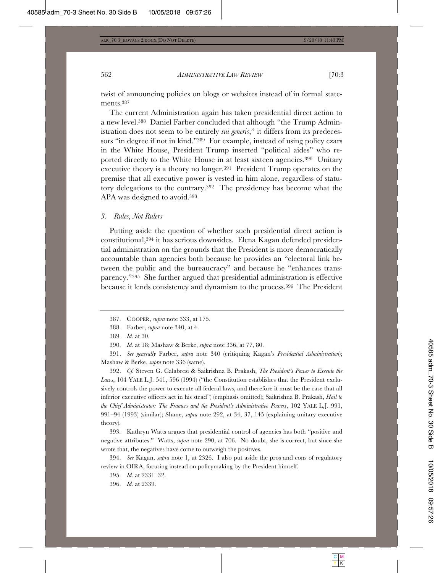twist of announcing policies on blogs or websites instead of in formal statements.387

The current Administration again has taken presidential direct action to a new level.388 Daniel Farber concluded that although "the Trump Administration does not seem to be entirely *sui generis*," it differs from its predecessors "in degree if not in kind."389 For example, instead of using policy czars in the White House, President Trump inserted "political aides" who reported directly to the White House in at least sixteen agencies.390 Unitary executive theory is a theory no longer.391 President Trump operates on the premise that all executive power is vested in him alone, regardless of statutory delegations to the contrary.392 The presidency has become what the APA was designed to avoid.393

#### *3. Rules, Not Rulers*

Putting aside the question of whether such presidential direct action is constitutional,394 it has serious downsides. Elena Kagan defended presidential administration on the grounds that the President is more democratically accountable than agencies both because he provides an "electoral link between the public and the bureaucracy" and because he "enhances transparency."395 She further argued that presidential administration is effective because it lends consistency and dynamism to the process.396 The President

392. *Cf.* Steven G. Calabresi & Saikrishna B. Prakash, *The President's Power to Execute the*  Laws, 104 YALE L.J. 541, 596 (1994) ("the Constitution establishes that the President exclusively controls the power to execute all federal laws, and therefore it must be the case that all inferior executive officers act in his stead") (emphasis omitted); Saikrishna B. Prakash, *Hail to the Chief Administrator: The Framers and the President's Administrative Powers*, 102 YALE L.J. 991, 991–94 (1993) (similar); Shane, *supra* note 292, at 34, 37, 145 (explaining unitary executive theory).

393. Kathryn Watts argues that presidential control of agencies has both "positive and negative attributes." Watts, *supra* note 290, at 706. No doubt, she is correct, but since she wrote that, the negatives have come to outweigh the positives.

394. *See* Kagan, *supra* note 1, at 2326. I also put aside the pros and cons of regulatory review in OIRA, focusing instead on policymaking by the President himself.

396. *Id.* at 2339.

<sup>387.</sup> COOPER, *supra* note 333, at 175.

<sup>388.</sup> Farber, *supra* note 340, at 4.

<sup>389.</sup> *Id.* at 30.

<sup>390.</sup> *Id.* at 18; Mashaw & Berke, *supra* note 336, at 77, 80.

<sup>391.</sup> *See generally* Farber, *supra* note 340 (critiquing Kagan's *Presidential Administration*); Mashaw & Berke, *supra* note 336 (same).

<sup>395.</sup> *Id.* at 2331–32.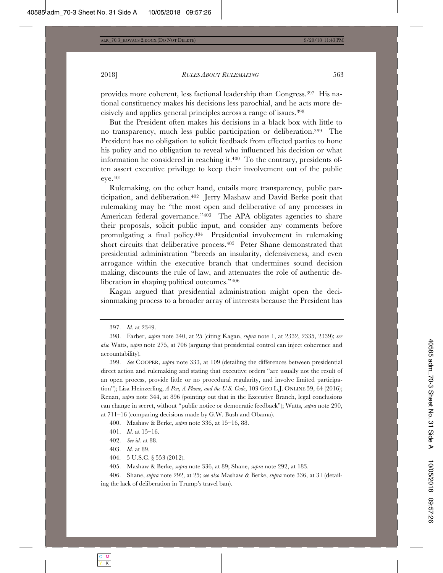provides more coherent, less factional leadership than Congress.397 His national constituency makes his decisions less parochial, and he acts more decisively and applies general principles across a range of issues.398

But the President often makes his decisions in a black box with little to no transparency, much less public participation or deliberation.399 The President has no obligation to solicit feedback from effected parties to hone his policy and no obligation to reveal who influenced his decision or what information he considered in reaching it. $400$  To the contrary, presidents often assert executive privilege to keep their involvement out of the public eye.401

Rulemaking, on the other hand, entails more transparency, public participation, and deliberation.402 Jerry Mashaw and David Berke posit that rulemaking may be "the most open and deliberative of any processes in American federal governance."<sup>403</sup> The APA obligates agencies to share their proposals, solicit public input, and consider any comments before promulgating a final policy.404 Presidential involvement in rulemaking short circuits that deliberative process.<sup>405</sup> Peter Shane demonstrated that presidential administration "breeds an insularity, defensiveness, and even arrogance within the executive branch that undermines sound decision making, discounts the rule of law, and attenuates the role of authentic deliberation in shaping political outcomes."406

Kagan argued that presidential administration might open the decisionmaking process to a broader array of interests because the President has

399. *See* COOPER, *supra* note 333, at 109 (detailing the differences between presidential direct action and rulemaking and stating that executive orders "are usually not the result of an open process, provide little or no procedural regularity, and involve limited participation"); Lisa Heinzerling, *A Pen, A Phone, and the U.S. Code*, 103 GEO L.J. ONLINE 59, 64 (2016); Renan, *supra* note 344, at 896 (pointing out that in the Executive Branch, legal conclusions can change in secret, without "public notice or democratic feedback"); Watts, *supra* note 290, at 711–16 (comparing decisions made by G.W. Bush and Obama).

400. Mashaw & Berke, *supra* note 336, at 15–16, 88.

403. *Id.* at 89.

404. 5 U.S.C. § 553 (2012).

405. Mashaw & Berke, *supra* note 336, at 89; Shane, *supra* note 292, at 183.

406. Shane, *supra* note 292, at 25; *see also* Mashaw & Berke, *supra* note 336, at 31 (detailing the lack of deliberation in Trump's travel ban).

<sup>397.</sup> *Id.* at 2349.

<sup>398.</sup> Farber, *supra* note 340, at 25 (citing Kagan, *supra* note 1, at 2332, 2335, 2339); *see also* Watts, *supra* note 275, at 706 (arguing that presidential control can inject coherence and accountability).

<sup>401.</sup> *Id.* at 15–16.

<sup>402.</sup> *See id.* at 88.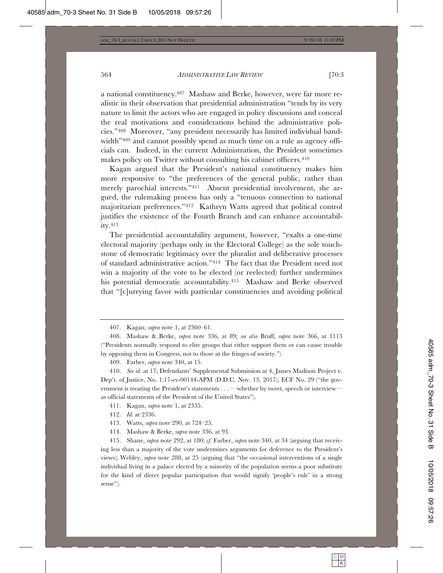a national constituency.407 Mashaw and Berke, however, were far more realistic in their observation that presidential administration "tends by its very nature to limit the actors who are engaged in policy discussions and conceal the real motivations and considerations behind the administrative policies."408 Moreover, "any president necessarily has limited individual bandwidth<sup>"409</sup> and cannot possibly spend as much time on a rule as agency officials can. Indeed, in the current Administration, the President sometimes makes policy on Twitter without consulting his cabinet officers.<sup>410</sup>

Kagan argued that the President's national constituency makes him more responsive to "the preferences of the general public, rather than merely parochial interests."411 Absent presidential involvement, she argued, the rulemaking process has only a "tenuous connection to national majoritarian preferences."412 Kathryn Watts agreed that political control justifies the existence of the Fourth Branch and can enhance accountability.413

The presidential accountability argument, however, "exalts a one-time electoral majority (perhaps only in the Electoral College) as the sole touchstone of democratic legitimacy over the pluralist and deliberative processes of standard administrative action."414 The fact that the President need not win a majority of the vote to be elected (or reelected) further undermines his potential democratic accountability.<sup>415</sup> Mashaw and Berke observed that "[c]urrying favor with particular constituencies and avoiding political

409. Farber, *supra* note 340, at 15.

410. *See id.* at 17; Defendants' Supplemental Submission at 4, James Madison Project v. Dep't. of Justice, No. 1:17-cv-00144-APM (D.D.C. Nov. 13, 2017), ECF No. 29 ("the government is treating the President's statements . . . —whether by tweet, speech or interview as official statements of the President of the United States").

- 411. Kagan, *supra* note 1, at 2335.
- 412. *Id.* at 2336.

414. Mashaw & Berke, *supra* note 336, at 93.

415. Shane, *supra* note 292, at 180; *cf.* Farber, *supra* note 340, at 34 (arguing that receiving less than a majority of the vote undermines arguments for deference to the President's views); Webley, *supra* note 288, at 25 (arguing that "the occasional interventions of a single individual living in a palace elected by a minority of the population seems a poor substitute for the kind of direct popular participation that would signify 'people's rule' in a strong sense").

<sup>407.</sup> Kagan, *supra* note 1, at 2360–61.

<sup>408.</sup> Mashaw & Berke, *supra* note 336, at 89; *see also* Bruff, *supra* note 366, at 1113 ("Presidents normally respond to elite groups that either support them or can cause trouble by opposing them in Congress, not to those at the fringes of society.").

<sup>413.</sup> Watts, *supra* note 290, at 724–25.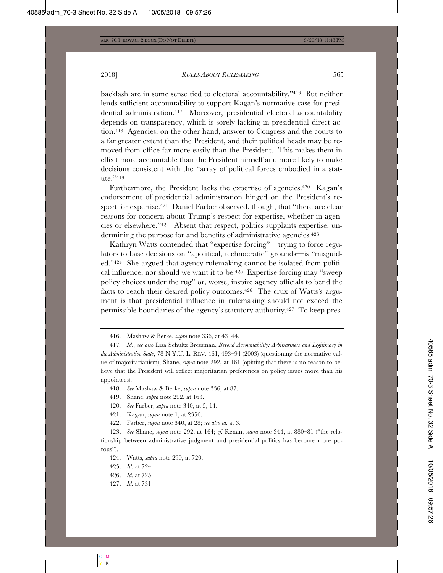2018] *RULES ABOUT RULEMAKING* 565

backlash are in some sense tied to electoral accountability."416 But neither lends sufficient accountability to support Kagan's normative case for presidential administration.417 Moreover, presidential electoral accountability depends on transparency, which is sorely lacking in presidential direct action.418 Agencies, on the other hand, answer to Congress and the courts to a far greater extent than the President, and their political heads may be removed from office far more easily than the President. This makes them in effect more accountable than the President himself and more likely to make decisions consistent with the "array of political forces embodied in a statute."419

Furthermore, the President lacks the expertise of agencies.<sup>420</sup> Kagan's endorsement of presidential administration hinged on the President's respect for expertise.421 Daniel Farber observed, though, that "there are clear reasons for concern about Trump's respect for expertise, whether in agencies or elsewhere."422 Absent that respect, politics supplants expertise, undermining the purpose for and benefits of administrative agencies.<sup>423</sup>

Kathryn Watts contended that "expertise forcing"—trying to force regulators to base decisions on "apolitical, technocratic" grounds—is "misguided."424 She argued that agency rulemaking cannot be isolated from political influence, nor should we want it to be.<sup>425</sup> Expertise forcing may "sweep" policy choices under the rug" or, worse, inspire agency officials to bend the facts to reach their desired policy outcomes.426 The crux of Watts's argument is that presidential influence in rulemaking should not exceed the permissible boundaries of the agency's statutory authority.427 To keep pres-

427. *Id.* at 731.

<sup>416.</sup> Mashaw & Berke, *supra* note 336, at 43–44.

<sup>417</sup>*. Id.*; *see also* Lisa Schultz Bressman, *Beyond Accountability: Arbitrariness and Legitimacy in the Administrative State*, 78 N.Y.U. L. REV. 461, 493–94 (2003) (questioning the normative value of majoritarianism); Shane, *supra* note 292, at 161 (opining that there is no reason to believe that the President will reflect majoritarian preferences on policy issues more than his appointees).

<sup>418.</sup> *See* Mashaw & Berke, *supra* note 336, at 87.

<sup>419.</sup> Shane, *supra* note 292, at 163.

<sup>420.</sup> *See* Farber, *supra* note 340, at 5, 14.

<sup>421.</sup> Kagan, *supra* note 1, at 2356.

<sup>422.</sup> Farber, *supra* note 340, at 28; *see also id.* at 3.

<sup>423.</sup> *See* Shane, *supra* note 292, at 164; *cf.* Renan, *supra* note 344, at 880–81 ("the relationship between administrative judgment and presidential politics has become more porous").

<sup>424.</sup> Watts, *supra* note 290, at 720.

<sup>425.</sup> *Id.* at 724.

<sup>426.</sup> *Id.* at 725.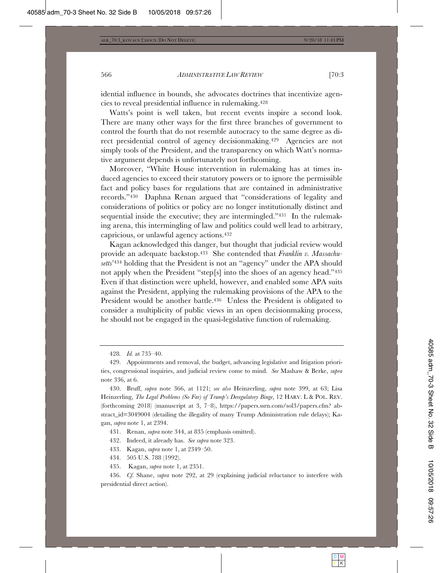idential influence in bounds, she advocates doctrines that incentivize agencies to reveal presidential influence in rulemaking.428

Watts's point is well taken, but recent events inspire a second look. There are many other ways for the first three branches of government to control the fourth that do not resemble autocracy to the same degree as direct presidential control of agency decisionmaking.429 Agencies are not simply tools of the President, and the transparency on which Watt's normative argument depends is unfortunately not forthcoming.

Moreover, "White House intervention in rulemaking has at times induced agencies to exceed their statutory powers or to ignore the permissible fact and policy bases for regulations that are contained in administrative records."430 Daphna Renan argued that "considerations of legality and considerations of politics or policy are no longer institutionally distinct and sequential inside the executive; they are intermingled."431 In the rulemaking arena, this intermingling of law and politics could well lead to arbitrary, capricious, or unlawful agency actions.432

Kagan acknowledged this danger, but thought that judicial review would provide an adequate backstop.433 She contended that *Franklin v. Massachusetts*'434 holding that the President is not an "agency" under the APA should not apply when the President "step[s] into the shoes of an agency head."435 Even if that distinction were upheld, however, and enabled some APA suits against the President, applying the rulemaking provisions of the APA to the President would be another battle.<sup>436</sup> Unless the President is obligated to consider a multiplicity of public views in an open decisionmaking process, he should not be engaged in the quasi-legislative function of rulemaking.

431. Renan, *supra* note 344, at 835 (emphasis omitted).

432. Indeed, it already has. *See supra* note 323.

433. Kagan, *supra* note 1, at 2349–50.

434. 505 U.S. 788 (1992).

435. Kagan, *supra* note 1, at 2351.

436. *Cf.* Shane, *supra* note 292, at 29 (explaining judicial reluctance to interfere with presidential direct action).

<sup>428</sup>*. Id.* at 735–40.

<sup>429.</sup> Appointments and removal, the budget, advancing legislative and litigation priorities, congressional inquiries, and judicial review come to mind. *See* Mashaw & Berke, *supra* note 336, at 6.

<sup>430.</sup> Bruff, *supra* note 366, at 1121; *see also* Heinzerling, *supra* note 399, at 63; Lisa Heinzerling, *The Legal Problems (So Far) of Trump's Deregulatory Binge*, 12 HARV.L&POL. REV. (forthcoming 2018) (manuscript at 3, 7–8), https://papers.ssrn.com/sol3/papers.cfm? abstract\_id=3049004 (detailing the illegality of many Trump Administration rule delays); Kagan, *supra* note 1, at 2394.